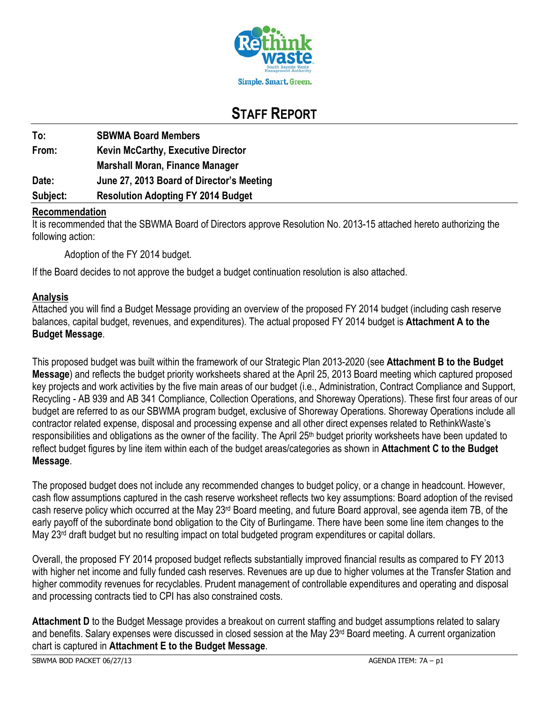

# **STAFF REPORT**

| To:      | <b>SBWMA Board Members</b>                |
|----------|-------------------------------------------|
| From:    | <b>Kevin McCarthy, Executive Director</b> |
|          | <b>Marshall Moran, Finance Manager</b>    |
| Date:    | June 27, 2013 Board of Director's Meeting |
| Subject: | <b>Resolution Adopting FY 2014 Budget</b> |

#### **Recommendation**

It is recommended that the SBWMA Board of Directors approve Resolution No. 2013-15 attached hereto authorizing the following action:

Adoption of the FY 2014 budget.

If the Board decides to not approve the budget a budget continuation resolution is also attached.

#### **Analysis**

Attached you will find a Budget Message providing an overview of the proposed FY 2014 budget (including cash reserve balances, capital budget, revenues, and expenditures). The actual proposed FY 2014 budget is **Attachment A to the Budget Message**.

This proposed budget was built within the framework of our Strategic Plan 2013-2020 (see **Attachment B to the Budget Message**) and reflects the budget priority worksheets shared at the April 25, 2013 Board meeting which captured proposed key projects and work activities by the five main areas of our budget (i.e., Administration, Contract Compliance and Support, Recycling - AB 939 and AB 341 Compliance, Collection Operations, and Shoreway Operations). These first four areas of our budget are referred to as our SBWMA program budget, exclusive of Shoreway Operations. Shoreway Operations include all contractor related expense, disposal and processing expense and all other direct expenses related to RethinkWaste's responsibilities and obligations as the owner of the facility. The April 25<sup>th</sup> budget priority worksheets have been updated to reflect budget figures by line item within each of the budget areas/categories as shown in **Attachment C to the Budget Message**.

The proposed budget does not include any recommended changes to budget policy, or a change in headcount. However, cash flow assumptions captured in the cash reserve worksheet reflects two key assumptions: Board adoption of the revised cash reserve policy which occurred at the May 23rd Board meeting, and future Board approval, see agenda item 7B, of the early payoff of the subordinate bond obligation to the City of Burlingame. There have been some line item changes to the May 23<sup>rd</sup> draft budget but no resulting impact on total budgeted program expenditures or capital dollars.

Overall, the proposed FY 2014 proposed budget reflects substantially improved financial results as compared to FY 2013 with higher net income and fully funded cash reserves. Revenues are up due to higher volumes at the Transfer Station and higher commodity revenues for recyclables. Prudent management of controllable expenditures and operating and disposal and processing contracts tied to CPI has also constrained costs.

**Attachment D** to the Budget Message provides a breakout on current staffing and budget assumptions related to salary and benefits. Salary expenses were discussed in closed session at the May 23<sup>rd</sup> Board meeting. A current organization chart is captured in **Attachment E to the Budget Message**.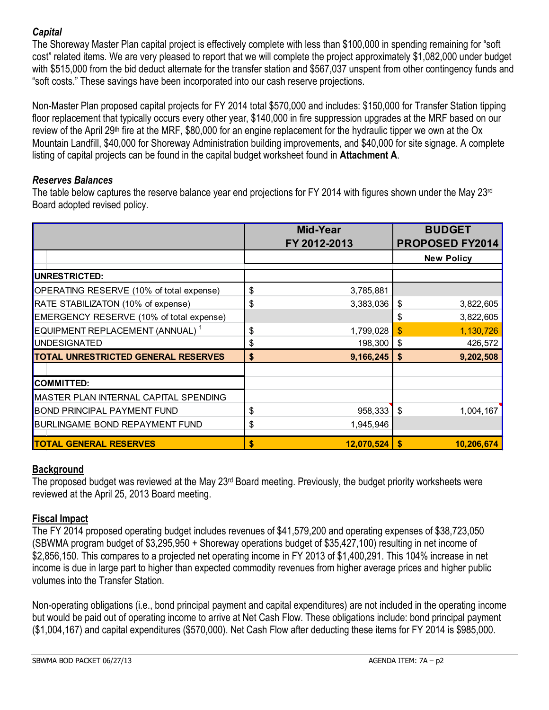### *Capital*

The Shoreway Master Plan capital project is effectively complete with less than \$100,000 in spending remaining for "soft cost" related items. We are very pleased to report that we will complete the project approximately \$1,082,000 under budget with \$515,000 from the bid deduct alternate for the transfer station and \$567,037 unspent from other contingency funds and "soft costs." These savings have been incorporated into our cash reserve projections.

Non-Master Plan proposed capital projects for FY 2014 total \$570,000 and includes: \$150,000 for Transfer Station tipping floor replacement that typically occurs every other year, \$140,000 in fire suppression upgrades at the MRF based on our review of the April 29th fire at the MRF, \$80,000 for an engine replacement for the hydraulic tipper we own at the Ox Mountain Landfill, \$40,000 for Shoreway Administration building improvements, and \$40,000 for site signage. A complete listing of capital projects can be found in the capital budget worksheet found in **Attachment A**.

#### *Reserves Balances*

The table below captures the reserve balance year end projections for FY 2014 with figures shown under the May  $23^{\text{rd}}$ Board adopted revised policy.

|                                             | <b>Mid-Year</b><br>FY 2012-2013 |               | <b>BUDGET</b><br>PROPOSED FY2014 |
|---------------------------------------------|---------------------------------|---------------|----------------------------------|
|                                             |                                 |               | <b>New Policy</b>                |
| UNRESTRICTED:                               |                                 |               |                                  |
| OPERATING RESERVE (10% of total expense)    | \$<br>3,785,881                 |               |                                  |
| RATE STABILIZATON (10% of expense)          | \$<br>3,383,036                 | \$            | 3,822,605                        |
| EMERGENCY RESERVE (10% of total expense)    |                                 | \$            | 3,822,605                        |
| EQUIPMENT REPLACEMENT (ANNUAL) <sup>1</sup> | \$<br>1,799,028                 | \$            | 1,130,726                        |
| <b>UNDESIGNATED</b>                         | \$<br>198,300                   | \$            | 426,572                          |
| <b>TOTAL UNRESTRICTED GENERAL RESERVES</b>  | \$<br>9,166,245                 | \$            | 9,202,508                        |
|                                             |                                 |               |                                  |
| <b>COMMITTED:</b>                           |                                 |               |                                  |
| MASTER PLAN INTERNAL CAPITAL SPENDING       |                                 |               |                                  |
| <b>BOND PRINCIPAL PAYMENT FUND</b>          | \$<br>958,333                   | \$            | 1,004,167                        |
| <b>BURLINGAME BOND REPAYMENT FUND</b>       | \$<br>1,945,946                 |               |                                  |
| <b>TOTAL GENERAL RESERVES</b>               | \$<br>12,070,524                | $\mathbf{\$}$ | 10,206,674                       |

#### **Background**

The proposed budget was reviewed at the May 23rd Board meeting. Previously, the budget priority worksheets were reviewed at the April 25, 2013 Board meeting.

#### **Fiscal Impact**

The FY 2014 proposed operating budget includes revenues of \$41,579,200 and operating expenses of \$38,723,050 (SBWMA program budget of \$3,295,950 + Shoreway operations budget of \$35,427,100) resulting in net income of \$2,856,150. This compares to a projected net operating income in FY 2013 of \$1,400,291. This 104% increase in net income is due in large part to higher than expected commodity revenues from higher average prices and higher public volumes into the Transfer Station.

Non-operating obligations (i.e., bond principal payment and capital expenditures) are not included in the operating income but would be paid out of operating income to arrive at Net Cash Flow. These obligations include: bond principal payment (\$1,004,167) and capital expenditures (\$570,000). Net Cash Flow after deducting these items for FY 2014 is \$985,000.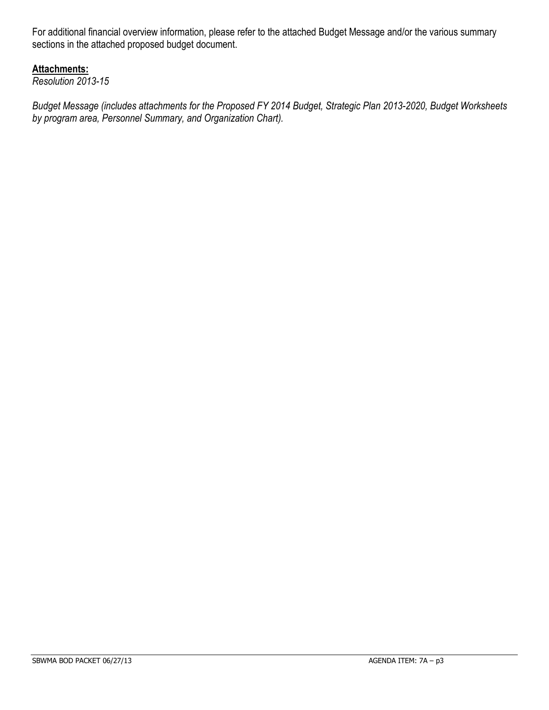For additional financial overview information, please refer to the attached Budget Message and/or the various summary sections in the attached proposed budget document.

#### **Attachments:**

*Resolution 2013-15*

*Budget Message (includes attachments for the Proposed FY 2014 Budget, Strategic Plan 2013-2020, Budget Worksheets by program area, Personnel Summary, and Organization Chart).*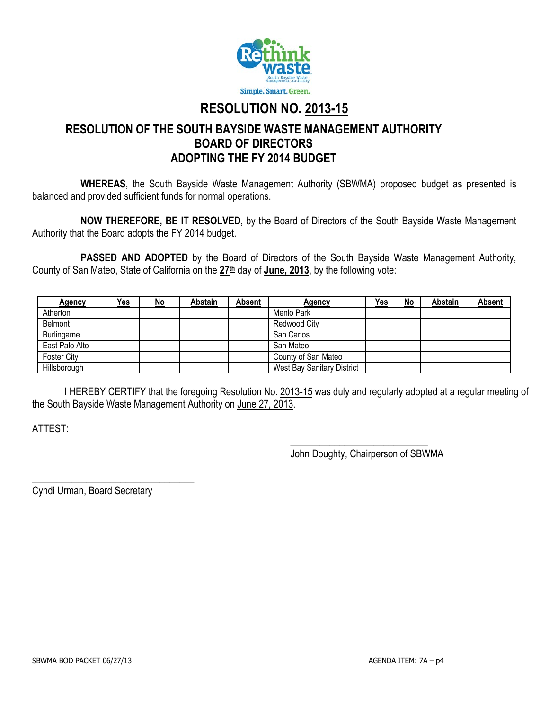

## **RESOLUTION NO. 2013-15**

## **RESOLUTION OF THE SOUTH BAYSIDE WASTE MANAGEMENT AUTHORITY BOARD OF DIRECTORS ADOPTING THE FY 2014 BUDGET**

**WHEREAS**, the South Bayside Waste Management Authority (SBWMA) proposed budget as presented is balanced and provided sufficient funds for normal operations.

**NOW THEREFORE, BE IT RESOLVED**, by the Board of Directors of the South Bayside Waste Management Authority that the Board adopts the FY 2014 budget.

**PASSED AND ADOPTED** by the Board of Directors of the South Bayside Waste Management Authority, County of San Mateo, State of California on the 27<sup>th</sup> day of June, 2013, by the following vote:

| <b>Agency</b>      | <u>Yes</u> | <u>No</u> | <b>Abstain</b> | Absent | <u>Agency</u>                     | <b>Yes</b> | No | Abstain | <b>Absent</b> |
|--------------------|------------|-----------|----------------|--------|-----------------------------------|------------|----|---------|---------------|
| Atherton           |            |           |                |        | Menlo Park                        |            |    |         |               |
| Belmont            |            |           |                |        | Redwood City                      |            |    |         |               |
| Burlingame         |            |           |                |        | San Carlos                        |            |    |         |               |
| East Palo Alto     |            |           |                |        | San Mateo                         |            |    |         |               |
| <b>Foster City</b> |            |           |                |        | County of San Mateo               |            |    |         |               |
| Hillsborough       |            |           |                |        | <b>West Bay Sanitary District</b> |            |    |         |               |

I HEREBY CERTIFY that the foregoing Resolution No. 2013-15 was duly and regularly adopted at a regular meeting of the South Bayside Waste Management Authority on June 27, 2013.

ATTEST:

\_\_\_\_\_\_\_\_\_\_\_\_\_\_\_\_\_\_\_\_\_\_\_\_\_\_\_\_ John Doughty, Chairperson of SBWMA

Cyndi Urman, Board Secretary

\_\_\_\_\_\_\_\_\_\_\_\_\_\_\_\_\_\_\_\_\_\_\_\_\_\_\_\_\_\_\_\_\_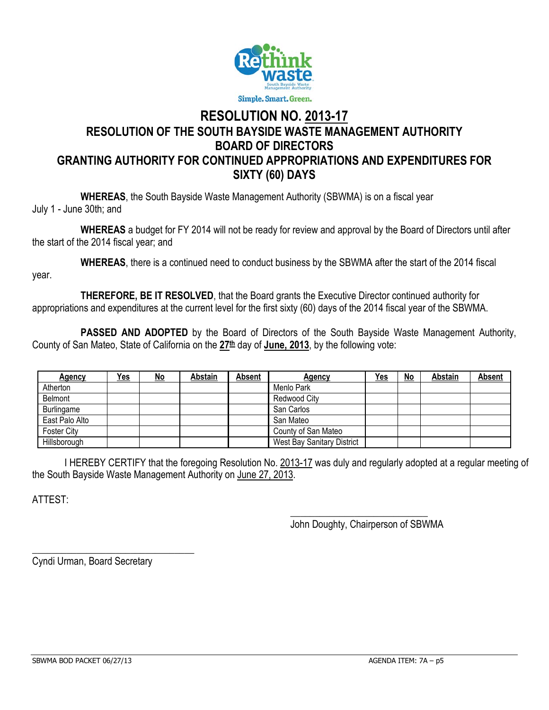

### **RESOLUTION NO. 2013-17 RESOLUTION OF THE SOUTH BAYSIDE WASTE MANAGEMENT AUTHORITY BOARD OF DIRECTORS GRANTING AUTHORITY FOR CONTINUED APPROPRIATIONS AND EXPENDITURES FOR SIXTY (60) DAYS**

**WHEREAS**, the South Bayside Waste Management Authority (SBWMA) is on a fiscal year July 1 - June 30th; and

**WHEREAS** a budget for FY 2014 will not be ready for review and approval by the Board of Directors until after the start of the 2014 fiscal year; and

**WHEREAS**, there is a continued need to conduct business by the SBWMA after the start of the 2014 fiscal year.

**THEREFORE, BE IT RESOLVED**, that the Board grants the Executive Director continued authority for appropriations and expenditures at the current level for the first sixty (60) days of the 2014 fiscal year of the SBWMA.

**PASSED AND ADOPTED** by the Board of Directors of the South Bayside Waste Management Authority, County of San Mateo, State of California on the **27th** day of **June, 2013**, by the following vote:

| <b>Agency</b>  | <b>Yes</b> | No | <b>Abstain</b> | <b>Absent</b> | <u>Agency</u>              | <b>Yes</b> | No | <b>Abstain</b> | <b>Absent</b> |
|----------------|------------|----|----------------|---------------|----------------------------|------------|----|----------------|---------------|
| Atherton       |            |    |                |               | Menlo Park                 |            |    |                |               |
| Belmont        |            |    |                |               | Redwood City               |            |    |                |               |
| Burlingame     |            |    |                |               | San Carlos                 |            |    |                |               |
| East Palo Alto |            |    |                |               | San Mateo                  |            |    |                |               |
| Foster City    |            |    |                |               | County of San Mateo        |            |    |                |               |
| Hillsborough   |            |    |                |               | West Bay Sanitary District |            |    |                |               |

I HEREBY CERTIFY that the foregoing Resolution No. 2013-17 was duly and regularly adopted at a regular meeting of the South Bayside Waste Management Authority on June 27, 2013.

ATTEST:

\_\_\_\_\_\_\_\_\_\_\_\_\_\_\_\_\_\_\_\_\_\_\_\_\_\_\_\_ John Doughty, Chairperson of SBWMA

\_\_\_\_\_\_\_\_\_\_\_\_\_\_\_\_\_\_\_\_\_\_\_\_\_\_\_\_\_\_\_\_\_ Cyndi Urman, Board Secretary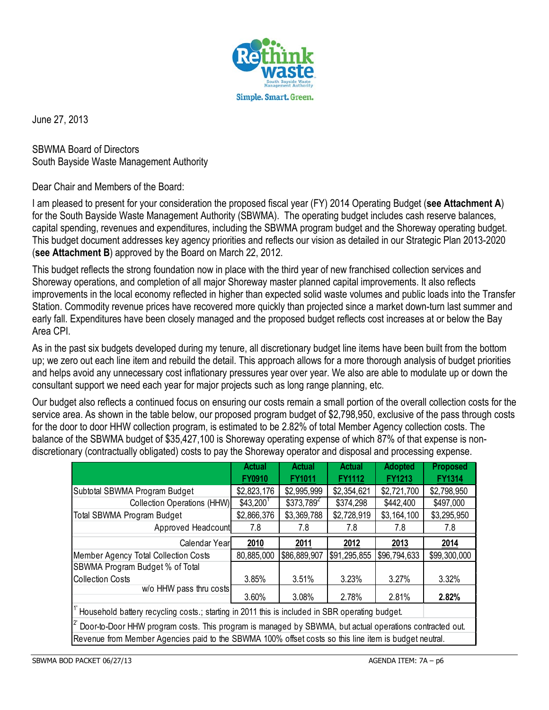

June 27, 2013

SBWMA Board of Directors South Bayside Waste Management Authority

Dear Chair and Members of the Board:

I am pleased to present for your consideration the proposed fiscal year (FY) 2014 Operating Budget (**see Attachment A**) for the South Bayside Waste Management Authority (SBWMA). The operating budget includes cash reserve balances, capital spending, revenues and expenditures, including the SBWMA program budget and the Shoreway operating budget. This budget document addresses key agency priorities and reflects our vision as detailed in our Strategic Plan 2013-2020 (**see Attachment B**) approved by the Board on March 22, 2012.

This budget reflects the strong foundation now in place with the third year of new franchised collection services and Shoreway operations, and completion of all major Shoreway master planned capital improvements. It also reflects improvements in the local economy reflected in higher than expected solid waste volumes and public loads into the Transfer Station. Commodity revenue prices have recovered more quickly than projected since a market down-turn last summer and early fall. Expenditures have been closely managed and the proposed budget reflects cost increases at or below the Bay Area CPI.

As in the past six budgets developed during my tenure, all discretionary budget line items have been built from the bottom up; we zero out each line item and rebuild the detail. This approach allows for a more thorough analysis of budget priorities and helps avoid any unnecessary cost inflationary pressures year over year. We also are able to modulate up or down the consultant support we need each year for major projects such as long range planning, etc.

Our budget also reflects a continued focus on ensuring our costs remain a small portion of the overall collection costs for the service area. As shown in the table below, our proposed program budget of \$2,798,950, exclusive of the pass through costs for the door to door HHW collection program, is estimated to be 2.82% of total Member Agency collection costs. The balance of the SBWMA budget of \$35,427,100 is Shoreway operating expense of which 87% of that expense is nondiscretionary (contractually obligated) costs to pay the Shoreway operator and disposal and processing expense.

|                                                                                                                 | Actual                                                               | <b>Actual</b>  | <b>Actual</b> | <b>Adopted</b> | <b>Proposed</b> |  |  |
|-----------------------------------------------------------------------------------------------------------------|----------------------------------------------------------------------|----------------|---------------|----------------|-----------------|--|--|
|                                                                                                                 | FY0910                                                               | <b>FY1011</b>  | <b>FY1112</b> | <b>FY1213</b>  | <b>FY1314</b>   |  |  |
| Subtotal SBWMA Program Budget                                                                                   | \$2,823,176                                                          | \$2,995,999    | \$2,354,621   | \$2,721,700    | \$2,798,950     |  |  |
| Collection Operations (HHW)                                                                                     | $$43,200^{\circ}$                                                    | $$373.789^{2}$ | \$374,298     | \$442,400      | \$497,000       |  |  |
| <b>Total SBWMA Program Budget</b>                                                                               | \$2,866,376                                                          | \$3,369,788    | \$2,728,919   | \$3,164,100    | \$3,295,950     |  |  |
| Approved Headcount                                                                                              | 7.8                                                                  | 7.8            | 7.8           | 7.8            | 7.8             |  |  |
| Calendar Year                                                                                                   | 2010                                                                 | 2011           | 2012          | 2013           | 2014            |  |  |
| Member Agency Total Collection Costs                                                                            | 80,885,000                                                           | \$86,889,907   | \$91,295,855  | \$96,794,633   | \$99,300,000    |  |  |
| SBWMA Program Budget % of Total                                                                                 |                                                                      |                |               |                |                 |  |  |
| <b>Collection Costs</b>                                                                                         | 3.85%                                                                | 3.51%          | 3.23%         | 3.27%          | 3.32%           |  |  |
|                                                                                                                 | w/o HHW pass thru costs<br>2.81%<br>3.60%<br>3.08%<br>2.78%<br>2.82% |                |               |                |                 |  |  |
| $\vert$ Household battery recycling costs.; starting in 2011 this is included in SBR operating budget.          |                                                                      |                |               |                |                 |  |  |
| $ ^{2}$ Door-to-Door HHW program costs. This program is managed by SBWMA, but actual operations contracted out. |                                                                      |                |               |                |                 |  |  |
| Revenue from Member Agencies paid to the SBWMA 100% offset costs so this line item is budget neutral.           |                                                                      |                |               |                |                 |  |  |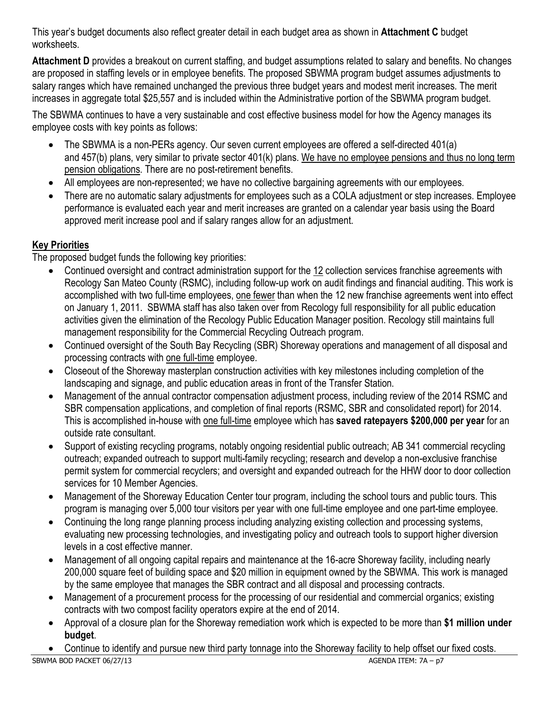This year's budget documents also reflect greater detail in each budget area as shown in **Attachment C** budget worksheets.

**Attachment D** provides a breakout on current staffing, and budget assumptions related to salary and benefits. No changes are proposed in staffing levels or in employee benefits. The proposed SBWMA program budget assumes adjustments to salary ranges which have remained unchanged the previous three budget years and modest merit increases. The merit increases in aggregate total \$25,557 and is included within the Administrative portion of the SBWMA program budget.

The SBWMA continues to have a very sustainable and cost effective business model for how the Agency manages its employee costs with key points as follows:

- The SBWMA is a non-PERs agency. Our seven current employees are offered a self-directed 401(a) and 457(b) plans, very similar to private sector 401(k) plans. We have no employee pensions and thus no long term pension obligations. There are no post-retirement benefits.
- All employees are non-represented; we have no collective bargaining agreements with our employees.
- There are no automatic salary adjustments for employees such as a COLA adjustment or step increases. Employee performance is evaluated each year and merit increases are granted on a calendar year basis using the Board approved merit increase pool and if salary ranges allow for an adjustment.

## **Key Priorities**

The proposed budget funds the following key priorities:

- x Continued oversight and contract administration support for the 12 collection services franchise agreements with Recology San Mateo County (RSMC), including follow-up work on audit findings and financial auditing. This work is accomplished with two full-time employees, one fewer than when the 12 new franchise agreements went into effect on January 1, 2011. SBWMA staff has also taken over from Recology full responsibility for all public education activities given the elimination of the Recology Public Education Manager position. Recology still maintains full management responsibility for the Commercial Recycling Outreach program.
- Continued oversight of the South Bay Recycling (SBR) Shoreway operations and management of all disposal and processing contracts with one full-time employee.
- Closeout of the Shoreway masterplan construction activities with key milestones including completion of the landscaping and signage, and public education areas in front of the Transfer Station.
- Management of the annual contractor compensation adjustment process, including review of the 2014 RSMC and SBR compensation applications, and completion of final reports (RSMC, SBR and consolidated report) for 2014. This is accomplished in-house with one full-time employee which has **saved ratepayers \$200,000 per year** for an outside rate consultant.
- Support of existing recycling programs, notably ongoing residential public outreach; AB 341 commercial recycling outreach; expanded outreach to support multi-family recycling; research and develop a non-exclusive franchise permit system for commercial recyclers; and oversight and expanded outreach for the HHW door to door collection services for 10 Member Agencies.
- x Management of the Shoreway Education Center tour program, including the school tours and public tours. This program is managing over 5,000 tour visitors per year with one full-time employee and one part-time employee.
- x Continuing the long range planning process including analyzing existing collection and processing systems, evaluating new processing technologies, and investigating policy and outreach tools to support higher diversion levels in a cost effective manner.
- Management of all ongoing capital repairs and maintenance at the 16-acre Shoreway facility, including nearly 200,000 square feet of building space and \$20 million in equipment owned by the SBWMA. This work is managed by the same employee that manages the SBR contract and all disposal and processing contracts.
- Management of a procurement process for the processing of our residential and commercial organics; existing contracts with two compost facility operators expire at the end of 2014.
- x Approval of a closure plan for the Shoreway remediation work which is expected to be more than **\$1 million under budget**.

SBWMA BOD PACKET 06/27/13 AGENDA ITEM: 7A – p7 • Continue to identify and pursue new third party tonnage into the Shoreway facility to help offset our fixed costs.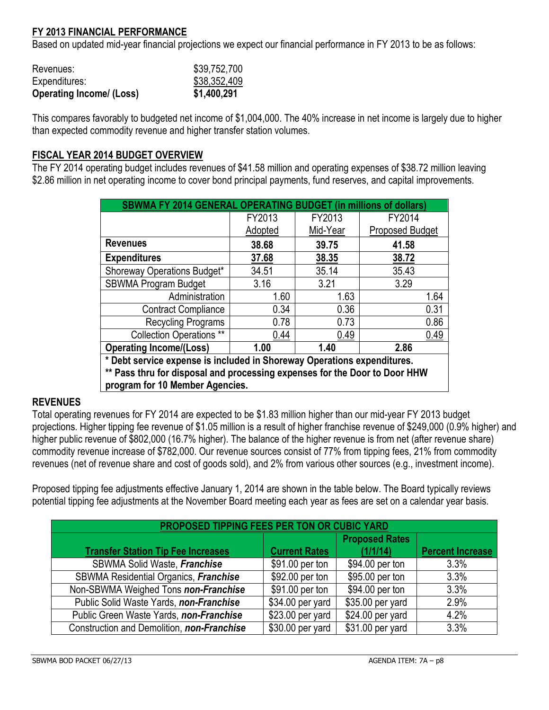#### **FY 2013 FINANCIAL PERFORMANCE**

Based on updated mid-year financial projections we expect our financial performance in FY 2013 to be as follows:

| <b>Operating Income/ (Loss)</b> | \$1,400,291  |
|---------------------------------|--------------|
| Expenditures:                   | \$38,352,409 |
| Revenues:                       | \$39,752,700 |

This compares favorably to budgeted net income of \$1,004,000. The 40% increase in net income is largely due to higher than expected commodity revenue and higher transfer station volumes.

#### **FISCAL YEAR 2014 BUDGET OVERVIEW**

The FY 2014 operating budget includes revenues of \$41.58 million and operating expenses of \$38.72 million leaving \$2.86 million in net operating income to cover bond principal payments, fund reserves, and capital improvements.

| <b>NG BUDGET (in millions of dollars)</b><br><b>SBWMA FY 2014 GENERAL</b>                                     |         |          |                        |  |  |  |  |
|---------------------------------------------------------------------------------------------------------------|---------|----------|------------------------|--|--|--|--|
|                                                                                                               | FY2013  | FY2013   | FY2014                 |  |  |  |  |
|                                                                                                               | Adopted | Mid-Year | <b>Proposed Budget</b> |  |  |  |  |
| <b>Revenues</b>                                                                                               | 38.68   | 39.75    | 41.58                  |  |  |  |  |
| <b>Expenditures</b>                                                                                           | 37.68   | 38.35    | 38.72                  |  |  |  |  |
| Shoreway Operations Budget*                                                                                   | 34.51   | 35.14    | 35.43                  |  |  |  |  |
| <b>SBWMA Program Budget</b>                                                                                   | 3.16    | 3.21     | 3.29                   |  |  |  |  |
| Administration                                                                                                | 1.60    | 1.63     | 1.64                   |  |  |  |  |
| <b>Contract Compliance</b>                                                                                    | 0.34    | 0.36     | 0.31                   |  |  |  |  |
| <b>Recycling Programs</b>                                                                                     | 0.78    | 0.73     | 0.86                   |  |  |  |  |
| <b>Collection Operations **</b>                                                                               | 0.44    | 0.49     | 0.49                   |  |  |  |  |
| <b>Operating Income/(Loss)</b><br>2.86<br>1.40<br>1.00                                                        |         |          |                        |  |  |  |  |
| * Debt service expense is included in Shoreway Operations expenditures.                                       |         |          |                        |  |  |  |  |
| ** Pass thru for disposal and processing expenses for the Door to Door HHW<br>program for 10 Member Agencies. |         |          |                        |  |  |  |  |

#### **REVENUES**

Total operating revenues for FY 2014 are expected to be \$1.83 million higher than our mid-year FY 2013 budget projections. Higher tipping fee revenue of \$1.05 million is a result of higher franchise revenue of \$249,000 (0.9% higher) and higher public revenue of \$802,000 (16.7% higher). The balance of the higher revenue is from net (after revenue share) commodity revenue increase of \$782,000. Our revenue sources consist of 77% from tipping fees, 21% from commodity revenues (net of revenue share and cost of goods sold), and 2% from various other sources (e.g., investment income).

Proposed tipping fee adjustments effective January 1, 2014 are shown in the table below. The Board typically reviews potential tipping fee adjustments at the November Board meeting each year as fees are set on a calendar year basis.

| <b>PROPOSED TIPPING FEES PER TON OR CUBIC YARD</b> |                      |                       |                         |  |  |  |
|----------------------------------------------------|----------------------|-----------------------|-------------------------|--|--|--|
|                                                    |                      | <b>Proposed Rates</b> |                         |  |  |  |
| <b>Transfer Station Tip Fee Increases</b>          | <b>Current Rates</b> | (1/1/14)              | <b>Percent Increase</b> |  |  |  |
| SBWMA Solid Waste, Franchise                       | \$91.00 per ton      | \$94.00 per ton       | 3.3%                    |  |  |  |
| SBWMA Residential Organics, Franchise              | \$92.00 per ton      | \$95.00 per ton       | 3.3%                    |  |  |  |
| Non-SBWMA Weighed Tons non-Franchise               | \$91.00 per ton      | \$94.00 per ton       | 3.3%                    |  |  |  |
| Public Solid Waste Yards, non-Franchise            | \$34.00 per yard     | \$35.00 per yard      | 2.9%                    |  |  |  |
| Public Green Waste Yards, non-Franchise            | \$23.00 per yard     | \$24.00 per yard      | 4.2%                    |  |  |  |
| Construction and Demolition, non-Franchise         | \$30.00 per yard     | \$31.00 per yard      | 3.3%                    |  |  |  |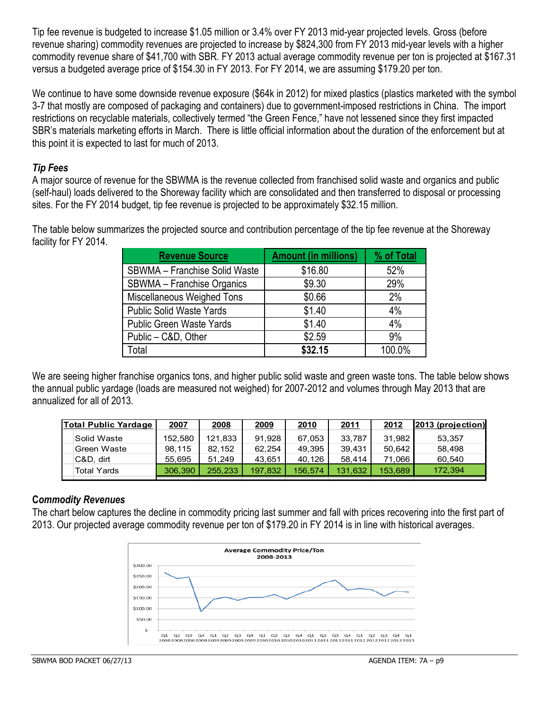Tip fee revenue is budgeted to increase \$1.05 million or 3.4% over FY 2013 mid-year projected levels. Gross (before revenue sharing) commodity revenues are projected to increase by \$824,300 from FY 2013 mid-year levels with a higher commodity revenue share of \$41,700 with SBR. FY 2013 actual average commodity revenue per ton is projected at \$167.31 versus a budgeted average price of \$154.30 in FY 2013. For FY 2014, we are assuming \$179.20 per ton.

We continue to have some downside revenue exposure (\$64k in 2012) for mixed plastics (plastics marketed with the symbol 3-7 that mostly are composed of packaging and containers) due to government-imposed restrictions in China. The import restrictions on recyclable materials, collectively termed "the Green Fence," have not lessened since they first impacted SBR's materials marketing efforts in March. There is little official information about the duration of the enforcement but at this point it is expected to last for much of 2013.

#### *Tip Fees*

A major source of revenue for the SBWMA is the revenue collected from franchised solid waste and organics and public (self-haul) loads delivered to the Shoreway facility which are consolidated and then transferred to disposal or processing sites. For the FY 2014 budget, tip fee revenue is projected to be approximately \$32.15 million.

The table below summarizes the projected source and contribution percentage of the tip fee revenue at the Shoreway facility for FY 2014.

| <b>Revenue Source</b>           | <b>Amount (in millions)</b> | % of Total |
|---------------------------------|-----------------------------|------------|
| SBWMA - Franchise Solid Waste   | \$16.80                     | 52%        |
| SBWMA - Franchise Organics      | \$9.30                      | 29%        |
| Miscellaneous Weighed Tons      | \$0.66                      | 2%         |
| <b>Public Solid Waste Yards</b> | \$1.40                      | 4%         |
| <b>Public Green Waste Yards</b> | \$1.40                      | 4%         |
| Public - C&D, Other             | \$2.59                      | 9%         |
| Total                           | \$32.15                     | 100.0%     |

We are seeing higher franchise organics tons, and higher public solid waste and green waste tons. The table below shows the annual public yardage (loads are measured not weighed) for 2007-2012 and volumes through May 2013 that are annualized for all of 2013.

| Total Public Yardage | 2007    | 2008    | <b>2009</b> | 2010    | <u> 2011</u> | 2012    | 2013 (projection) |
|----------------------|---------|---------|-------------|---------|--------------|---------|-------------------|
| Solid Waste          | 152.580 | 121.833 | 91.928      | 67.053  | 33.787       | 31.982  | 53.357            |
| Green Waste          | 98.115  | 82.152  | 62.254      | 49.395  | 39.431       | 50.642  | 58.498            |
| C&D. dirt            | 55.695  | 51.249  | 43.651      | 40.126  | 58.414       | 71.066  | 60,540            |
| Total Yards          | 306,390 | 255.233 | 197.832     | 156.574 | 131.632      | 153.689 | 172,394           |

#### **C***ommodity Revenues*

The chart below captures the decline in commodity pricing last summer and fall with prices recovering into the first part of 2013. Our projected average commodity revenue per ton of \$179.20 in FY 2014 is in line with historical averages.

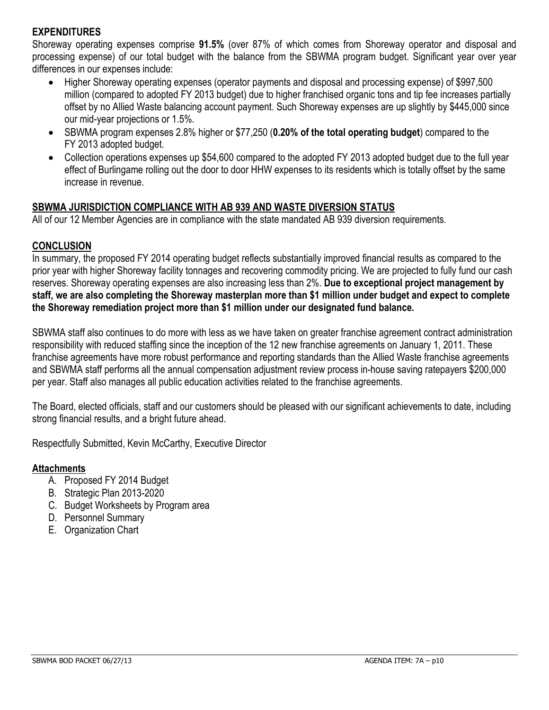#### **EXPENDITURES**

Shoreway operating expenses comprise **91.5%** (over 87% of which comes from Shoreway operator and disposal and processing expense) of our total budget with the balance from the SBWMA program budget. Significant year over year differences in our expenses include:

- Higher Shoreway operating expenses (operator payments and disposal and processing expense) of \$997,500 million (compared to adopted FY 2013 budget) due to higher franchised organic tons and tip fee increases partially offset by no Allied Waste balancing account payment. Such Shoreway expenses are up slightly by \$445,000 since our mid-year projections or 1.5%.
- x SBWMA program expenses 2.8% higher or \$77,250 (**0.20% of the total operating budget**) compared to the FY 2013 adopted budget.
- Collection operations expenses up \$54,600 compared to the adopted FY 2013 adopted budget due to the full year effect of Burlingame rolling out the door to door HHW expenses to its residents which is totally offset by the same increase in revenue.

#### **SBWMA JURISDICTION COMPLIANCE WITH AB 939 AND WASTE DIVERSION STATUS**

All of our 12 Member Agencies are in compliance with the state mandated AB 939 diversion requirements.

#### **CONCLUSION**

In summary, the proposed FY 2014 operating budget reflects substantially improved financial results as compared to the prior year with higher Shoreway facility tonnages and recovering commodity pricing. We are projected to fully fund our cash reserves. Shoreway operating expenses are also increasing less than 2%. **Due to exceptional project management by staff, we are also completing the Shoreway masterplan more than \$1 million under budget and expect to complete the Shoreway remediation project more than \$1 million under our designated fund balance.**

SBWMA staff also continues to do more with less as we have taken on greater franchise agreement contract administration responsibility with reduced staffing since the inception of the 12 new franchise agreements on January 1, 2011. These franchise agreements have more robust performance and reporting standards than the Allied Waste franchise agreements and SBWMA staff performs all the annual compensation adjustment review process in-house saving ratepayers \$200,000 per year. Staff also manages all public education activities related to the franchise agreements.

The Board, elected officials, staff and our customers should be pleased with our significant achievements to date, including strong financial results, and a bright future ahead.

Respectfully Submitted, Kevin McCarthy, Executive Director

#### **Attachments**

- A. Proposed FY 2014 Budget
- B. Strategic Plan 2013-2020
- C. Budget Worksheets by Program area
- D. Personnel Summary
- E. Organization Chart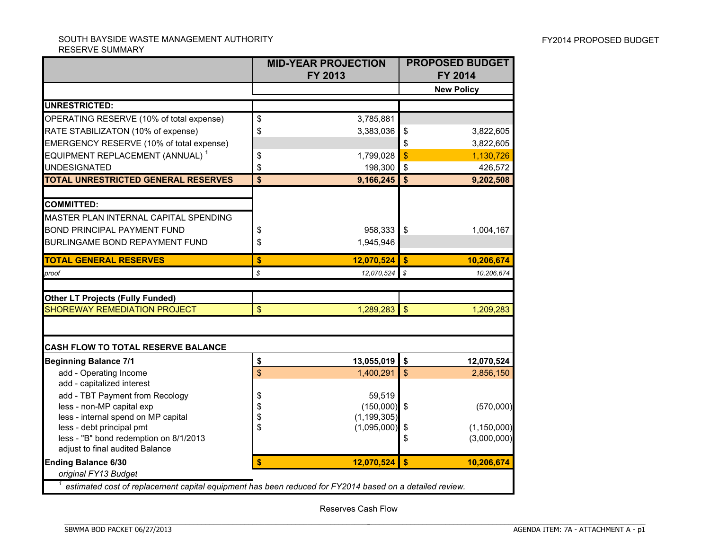#### SOUTH BAYSIDE WASTE MANAGEMENT AUTHORITY RESERVE SUMMARY

|                                                                                                         |               | <b>MID-YEAR PROJECTION</b><br>FY 2013 |                      | <b>PROPOSED BUDGET</b><br>FY 2014 |
|---------------------------------------------------------------------------------------------------------|---------------|---------------------------------------|----------------------|-----------------------------------|
|                                                                                                         |               |                                       |                      | <b>New Policy</b>                 |
| UNRESTRICTED:                                                                                           |               |                                       |                      |                                   |
| OPERATING RESERVE (10% of total expense)                                                                | \$            | 3,785,881                             |                      |                                   |
| RATE STABILIZATON (10% of expense)                                                                      | \$            | 3,383,036                             | \$                   | 3,822,605                         |
| EMERGENCY RESERVE (10% of total expense)                                                                |               |                                       | \$                   | 3,822,605                         |
| EQUIPMENT REPLACEMENT (ANNUAL) <sup>1</sup>                                                             | \$            | 1,799,028                             | \$                   | 1,130,726                         |
| <b>UNDESIGNATED</b>                                                                                     | \$            | 198,300                               | $\sqrt{3}$           | 426,572                           |
| TOTAL UNRESTRICTED GENERAL RESERVES                                                                     | \$            | 9,166,245                             | $\overline{\bullet}$ | 9,202,508                         |
| <b>COMMITTED:</b>                                                                                       |               |                                       |                      |                                   |
| MASTER PLAN INTERNAL CAPITAL SPENDING                                                                   |               |                                       |                      |                                   |
| <b>BOND PRINCIPAL PAYMENT FUND</b>                                                                      | \$            | 958,333                               | $\mathfrak{s}$       | 1,004,167                         |
| BURLINGAME BOND REPAYMENT FUND                                                                          | \$            | 1,945,946                             |                      |                                   |
| <b>TOTAL GENERAL RESERVES</b>                                                                           | \$            | 12,070,524                            | $\sqrt{2}$           | 10,206,674                        |
| proof                                                                                                   | $\mathfrak s$ | 12,070,524                            | $\mathcal{S}$        | 10,206,674                        |
|                                                                                                         |               |                                       |                      |                                   |
| <b>Other LT Projects (Fully Funded)</b><br><b>SHOREWAY REMEDIATION PROJECT</b>                          | \$            | 1,289,283                             | $\sqrt{3}$           | 1,209,283                         |
|                                                                                                         |               |                                       |                      |                                   |
| CASH FLOW TO TOTAL RESERVE BALANCE                                                                      |               |                                       |                      |                                   |
| <b>Beginning Balance 7/1</b>                                                                            | \$            | 13,055,019                            | \$                   | 12,070,524                        |
| add - Operating Income                                                                                  | \$            | 1,400,291                             | $\sqrt{3}$           | 2,856,150                         |
| add - capitalized interest                                                                              |               |                                       |                      |                                   |
| add - TBT Payment from Recology                                                                         | \$            | 59,519                                |                      |                                   |
| less - non-MP capital exp<br>less - internal spend on MP capital                                        | \$<br>\$      | $(150,000)$ \$<br>(1, 199, 305)       |                      | (570,000)                         |
| less - debt principal pmt                                                                               | \$            | $(1,095,000)$ \$                      |                      | (1, 150, 000)                     |
| less - "B" bond redemption on 8/1/2013                                                                  |               |                                       | \$                   | (3,000,000)                       |
| adjust to final audited Balance                                                                         |               |                                       |                      |                                   |
| <b>Ending Balance 6/30</b>                                                                              | \$            | 12,070,524                            | $\sqrt{2}$           | 10,206,674                        |
| original FY13 Budget                                                                                    |               |                                       |                      |                                   |
| estimated cost of replacement capital equipment has been reduced for FY2014 based on a detailed review. |               |                                       |                      |                                   |

Reserves Cash Flow

BBBBBBBBBBBBBBBBBBBBBBBBBBBBBBBBBBBBBBBBBBBBBBBBBBBBBBBBBBBBBBBBBBBBBBBBBBBBBB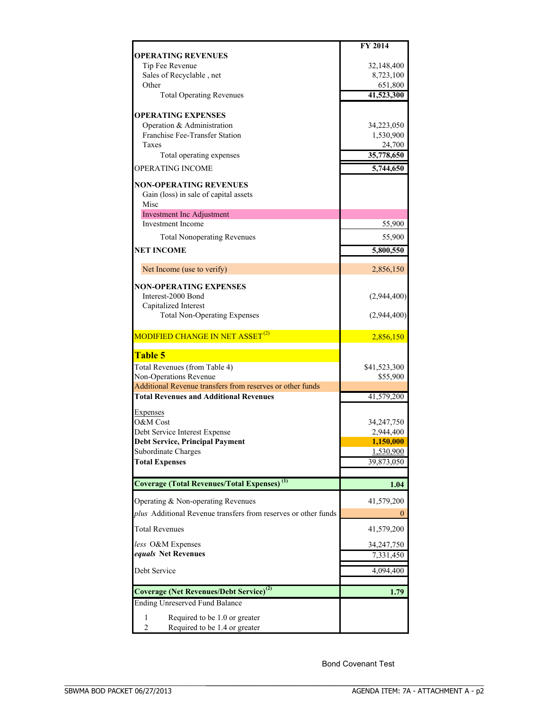| <b>OPERATING REVENUES</b><br>Tip Fee Revenue<br>Sales of Recyclable, net                                                       | <b>FY 2014</b><br>32,148,400<br>8,723,100         |
|--------------------------------------------------------------------------------------------------------------------------------|---------------------------------------------------|
| Other                                                                                                                          | 651,800<br>41,523,300                             |
| <b>Total Operating Revenues</b>                                                                                                |                                                   |
| <b>OPERATING EXPENSES</b><br>Operation & Administration<br>Franchise Fee-Transfer Station<br>Taxes<br>Total operating expenses | 34,223,050<br>1,530,900<br>24,700<br>35,778,650   |
| OPERATING INCOME                                                                                                               | 5,744,650                                         |
| <b>NON-OPERATING REVENUES</b><br>Gain (loss) in sale of capital assets<br>Misc<br>Investment Inc Adjustment                    |                                                   |
| <b>Investment</b> Income                                                                                                       | 55,900                                            |
| <b>Total Nonoperating Revenues</b>                                                                                             | 55,900                                            |
| <b>NET INCOME</b>                                                                                                              | 5,800,550                                         |
| Net Income (use to verify)                                                                                                     | 2,856,150                                         |
| <b>NON-OPERATING EXPENSES</b><br>Interest-2000 Bond<br>Capitalized Interest                                                    | (2,944,400)                                       |
| <b>Total Non-Operating Expenses</b>                                                                                            | (2,944,400)                                       |
| MODIFIED CHANGE IN NET ASSET <sup>(2)</sup>                                                                                    | 2,856,150                                         |
| <b>Table 5</b>                                                                                                                 |                                                   |
| Total Revenues (from Table 4)<br>Non-Operations Revenue<br>Additional Revenue transfers from reserves or other funds           | \$41,523,300<br>\$55,900                          |
| <b>Total Revenues and Additional Revenues</b>                                                                                  | 41,579,200                                        |
| Expenses<br>O&M Cost<br>Debt Service Interest Expense<br><b>Debt Service, Principal Payment</b><br>Subordinate Charges         | 34,247,750<br>2,944,400<br>1,150,000<br>1,530,900 |
| <b>Total Expenses</b>                                                                                                          | 39,873,050                                        |
| <b>Coverage (Total Revenues/Total Expenses)</b> <sup>(1)</sup>                                                                 | 1.04                                              |
| Operating & Non-operating Revenues<br>plus Additional Revenue transfers from reserves or other funds                           | 41,579,200                                        |
| <b>Total Revenues</b>                                                                                                          | 41,579,200                                        |
| less O&M Expenses                                                                                                              | 34,247,750                                        |
| equals Net Revenues                                                                                                            | 7,331,450                                         |
| Debt Service                                                                                                                   | 4,094,400                                         |
| <b>Coverage (Net Revenues/Debt Service)</b> <sup>(2)</sup>                                                                     | 1.79                                              |
| Ending Unreserved Fund Balance                                                                                                 |                                                   |
| Required to be 1.0 or greater<br>1<br>$\overline{2}$<br>Required to be 1.4 or greater                                          |                                                   |

Bond Covenant Test

BBBBBBBBBBBBBBBBBBBBBBBBBBBBBBBBBBBBBBBBBBBBBBBBBBBBBBBBBBBBBBBBBBBBBBB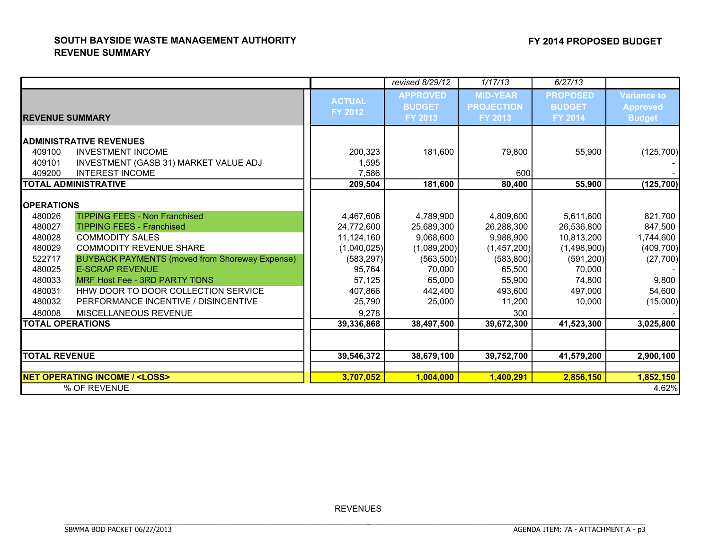#### **SOUTH BAYSIDE WASTE MANAGEMENT AUTHORITY REVENUE SUMMARY**

|                         |                                                       |                          | revised 8/29/12                                    | 1/17/13                                                | 6/27/13                                            |                                                 |
|-------------------------|-------------------------------------------------------|--------------------------|----------------------------------------------------|--------------------------------------------------------|----------------------------------------------------|-------------------------------------------------|
| <b>REVENUE SUMMARY</b>  |                                                       | <b>ACTUAL</b><br>FY 2012 | <b>APPROVED</b><br><b>BUDGET</b><br><b>FY 2013</b> | <b>MID-YEAR</b><br><b>PROJECTION</b><br><b>FY 2013</b> | <b>PROPOSED</b><br><b>BUDGET</b><br><b>FY 2014</b> | Variance to<br><b>Approved</b><br><b>Budget</b> |
|                         | <b>ADMINISTRATIVE REVENUES</b>                        |                          |                                                    |                                                        |                                                    |                                                 |
| 409100                  | <b>INVESTMENT INCOME</b>                              | 200,323                  | 181,600                                            | 79,800                                                 | 55,900                                             | (125, 700)                                      |
| 409101                  | INVESTMENT (GASB 31) MARKET VALUE ADJ                 | 1,595                    |                                                    |                                                        |                                                    |                                                 |
| 409200                  | <b>INTEREST INCOME</b>                                | 7,586                    |                                                    | 600                                                    |                                                    |                                                 |
|                         | <b>TOTAL ADMINISTRATIVE</b>                           | 209,504                  | 181,600                                            | 80,400                                                 | 55,900                                             | (125, 700)                                      |
| <b>OPERATIONS</b>       |                                                       |                          |                                                    |                                                        |                                                    |                                                 |
| 480026                  | <b>TIPPING FEES - Non Franchised</b>                  | 4,467,606                | 4,789,900                                          | 4,809,600                                              | 5,611,600                                          | 821,700                                         |
| 480027                  | <b>TIPPING FEES - Franchised</b>                      | 24,772,600               | 25,689,300                                         | 26,288,300                                             | 26,536,800                                         | 847,500                                         |
| 480028                  | <b>COMMODITY SALES</b>                                | 11,124,160               | 9,068,600                                          | 9,988,900                                              | 10,813,200                                         | 1,744,600                                       |
| 480029                  | <b>COMMODITY REVENUE SHARE</b>                        | (1,040,025)              | (1,089,200)                                        | (1,457,200)                                            | (1,498,900)                                        | (409, 700)                                      |
| 522717                  | <b>BUYBACK PAYMENTS (moved from Shoreway Expense)</b> | (583, 297)               | (563, 500)                                         | (583, 800)                                             | (591, 200)                                         | (27,700)                                        |
| 480025                  | <b>E-SCRAP REVENUE</b>                                | 95,764                   | 70,000                                             | 65,500                                                 | 70,000                                             |                                                 |
| 480033                  | MRF Host Fee - 3RD PARTY TONS                         | 57,125                   | 65,000                                             | 55,900                                                 | 74,800                                             | 9,800                                           |
| 480031                  | HHW DOOR TO DOOR COLLECTION SERVICE                   | 407,866                  | 442,400                                            | 493,600                                                | 497,000                                            | 54,600                                          |
| 480032                  | PERFORMANCE INCENTIVE / DISINCENTIVE                  | 25,790                   | 25,000                                             | 11,200                                                 | 10,000                                             | (15,000)                                        |
| 480008                  | MISCELLANEOUS REVENUE                                 | 9,278                    |                                                    | 300                                                    |                                                    |                                                 |
| <b>TOTAL OPERATIONS</b> |                                                       | 39,336,868               | 38,497,500                                         | 39,672,300                                             | 41,523,300                                         | 3,025,800                                       |
|                         |                                                       |                          |                                                    |                                                        |                                                    |                                                 |
| <b>TOTAL REVENUE</b>    |                                                       | 39,546,372               | 38,679,100                                         | 39,752,700                                             | 41,579,200                                         | 2,900,100                                       |
|                         | <b>NET OPERATING INCOME / <loss></loss></b>           |                          | 1.004.000                                          | 1.400.291                                              |                                                    |                                                 |
|                         | % OF REVENUE                                          | 3,707,052                |                                                    |                                                        | 2,856,150                                          | 1,852,150<br>4.62%                              |
|                         |                                                       |                          |                                                    |                                                        |                                                    |                                                 |

BBBBBBBBBBBBBBBBBBBBBBBBBBBBBBBBBBBBBBBBBBBBBBBBBBBBBBBBBBBBBBBBBBBBBBBBBBBBBB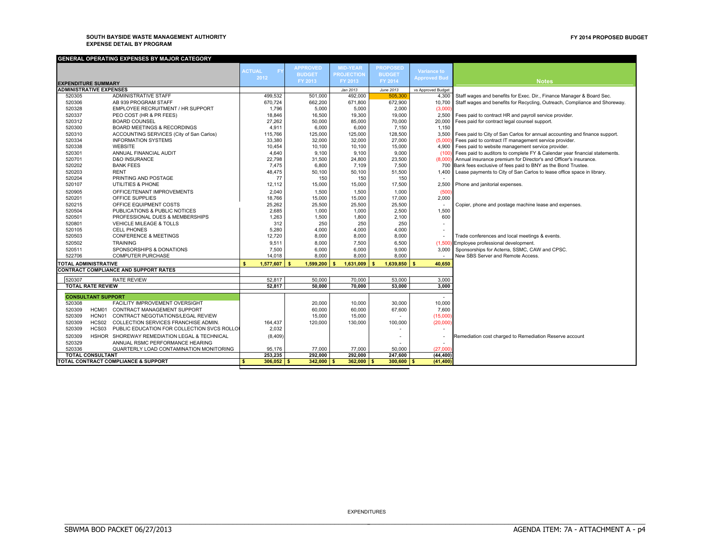### **SOUTH BAYSIDE WASTE MANAGEMENT AUTHORITY EXPENSE DETAIL BY PROGRAM**

|                  | <b>GENERAL OPERATING EXPENSES BY MAJOR CATEGORY</b>                                        |                       |                    |                   |                          |                              |                                                                                  |
|------------------|--------------------------------------------------------------------------------------------|-----------------------|--------------------|-------------------|--------------------------|------------------------------|----------------------------------------------------------------------------------|
|                  |                                                                                            |                       | <b>APPROVED</b>    | <b>MID-YEAR</b>   | <b>PROPOSED</b>          |                              |                                                                                  |
|                  |                                                                                            | <b>ACTUAL</b><br>- FY | <b>BUDGET</b>      | <b>PROJECTION</b> | <b>BUDGET</b>            | <b>Variance to</b>           |                                                                                  |
|                  | <b>EXPENDITURE SUMMARY</b>                                                                 | 2012                  | FY 2013            | FY 2013           | FY 2014                  | <b>Approved Bud</b>          | <b>Notes</b>                                                                     |
|                  | <b>ADMINISTRATIVE EXPENSES</b>                                                             |                       |                    | Jan 2013          | June 2013                | vs Approved Budget           |                                                                                  |
| 520305           | <b>ADMINISTRATIVE STAFF</b>                                                                | 499,532               | 501.000            | 492,000           | 505,300                  | 4,300                        | Staff wages and benefits for Exec. Dir., Finance Manager & Board Sec.            |
| 520306           | AB 939 PROGRAM STAFF                                                                       | 670.724               | 662.200            | 671.800           | 672.900                  | 10.700                       | Staff wages and benefits for Recycling, Outreach, Compliance and Shoreway.       |
| 520328           | EMPLOYEE RECRUITMENT / HR SUPPORT                                                          | 1,796                 | 5,000              | 5,000             | 2,000                    | (3,000)                      |                                                                                  |
| 520337           | PEO COST (HR & PR FEES)                                                                    | 18.846                | 16,500             | 19,300            | 19,000                   | 2.500                        | Fees paid to contract HR and payroll service provider.                           |
| 520312           | <b>BOARD COUNSEL</b>                                                                       | 27,262                | 50,000             | 85,000            | 70,000                   | 20,000                       | Fees paid for contract legal counsel support.                                    |
| 520300           | <b>BOARD MEETINGS &amp; RECORDINGS</b>                                                     | 4,911                 | 6.000              | 6,000             | 7,150                    | 1,150                        |                                                                                  |
| 520310           | ACCOUNTING SERVICES (City of San Carlos)                                                   | 115,766               | 125.000            | 125.000           | 128,500                  | 3.500                        | Fees paid to City of San Carlos for annual accounting and finance support.       |
| 520334           | <b>INFORMATION SYSTEMS</b>                                                                 | 33,380                | 32,000             | 32,000            | 27,000                   | (5,000)                      | Fees paid to contract IT management service provider.                            |
| 520338           | <b>WEBSITE</b>                                                                             | 10.454                | 10.100             | 10.100            | 15,000                   |                              | 4,900 Fees paid to website management service provider.                          |
| 520301           | ANNUAL FINANCIAL AUDIT                                                                     | 4.640                 | 9.100              | 9.100             | 9.000                    |                              | (100) Fees paid to auditors to complete FY & Calendar year financial statements. |
| 520701           | <b>D&amp;O INSURANCE</b>                                                                   | 22,798                | 31,500             | 24,800            | 23,500                   |                              | (8,000) Annual insurance premium for Director's and Officer's insurance.         |
| 520202           | <b>BANK FEES</b>                                                                           | 7.475                 | 6.800              | 7.109             | 7.500                    |                              | 700 Bank fees exclusive of fees paid to BNY as the Bond Trustee.                 |
| 520203           | <b>RENT</b>                                                                                | 48,475                | 50,100             | 50,100            | 51,500                   | 1.400                        | Lease payments to City of San Carlos to lease office space in library.           |
| 520204           | PRINTING AND POSTAGE                                                                       | 77                    | 150                | 150               | 150                      |                              |                                                                                  |
| 520107           | UTILITIES & PHONE                                                                          | 12,112                | 15,000             | 15,000            | 17,500                   | 2,500                        | Phone and janitorial expenses.                                                   |
| 520905           | OFFICE/TENANT IMPROVEMENTS                                                                 | 2.040                 | 1,500              | 1,500             | 1,000                    | (500)                        |                                                                                  |
| 520201           | OFFICE SUPPLIES                                                                            | 18.766                | 15,000             | 15,000            | 17,000                   | 2,000                        |                                                                                  |
| 520215           | OFFICE EQUIPMENT COSTS                                                                     | 25,262                | 25,500             | 25,500            | 25,500                   |                              | Copier, phone and postage machine lease and expenses.                            |
| 520504           | PUBLICATIONS & PUBLIC NOTICES                                                              | 2,685                 | 1,000              | 1,000             | 2,500                    | 1,500                        |                                                                                  |
| 520501           | PROFESSIONAL DUES & MEMBERSHIPS                                                            | 1,263                 | 1,500              | 1,800             | 2,100                    | 600                          |                                                                                  |
| 520801           | <b>VEHICLE MILEAGE &amp; TOLLS</b>                                                         | 312                   | 250                | 250               | 250                      |                              |                                                                                  |
| 520105           | <b>CELL PHONES</b>                                                                         | 5,280                 | 4,000              | 4,000             | 4,000                    |                              |                                                                                  |
| 520503           | <b>CONFERENCE &amp; MEETINGS</b>                                                           | 12,720                | 8.000              | 8.000             | 8.000                    |                              | Trade conferences and local meetings & events.                                   |
| 520502           | <b>TRAINING</b>                                                                            | 9,511                 | 8.000              | 7,500             | 6.500                    |                              | (1,500) Employee professional development.                                       |
| 520511           | SPONSORSHIPS & DONATIONS                                                                   | 7,500                 | 6,000              | 6,000             | 9,000                    | 3.000                        | Sponsorships for Acterra, SSMC, CAW and CPSC.                                    |
| 522706           | <b>COMPUTER PURCHASE</b>                                                                   | 14,018                | 8.000              | 8.000             | 8,000                    |                              | New SBS Server and Remote Access.                                                |
|                  | <b>TOTAL ADMINISTRATIVE</b>                                                                | Ś.<br>1.577.607       | Ś.<br>1.599.200    | 1.631.009         | 1.639.850                | $\hat{\mathbf{x}}$<br>40.650 |                                                                                  |
|                  | <b>CONTRACT COMPLIANCE AND SUPPORT RATES</b>                                               |                       |                    |                   |                          |                              |                                                                                  |
| 520307           | <b>RATE REVIEW</b>                                                                         | 52,817                | 50,000             | 70,000            | 53.000                   | 3,000                        |                                                                                  |
|                  | <b>TOTAL RATE REVIEW</b>                                                                   | 52.817                | 50.000             | 70.000            | 53.000                   | 3.000                        |                                                                                  |
|                  |                                                                                            |                       |                    |                   |                          |                              |                                                                                  |
|                  | <b>CONSULTANT SUPPORT</b>                                                                  |                       |                    |                   |                          |                              |                                                                                  |
| 520308           | FACILITY IMPROVEMENT OVERSIGHT                                                             |                       | 20,000<br>60,000   | 10,000<br>60,000  | 30,000                   | 10,000<br>7.600              |                                                                                  |
| 520309           | HCM01<br><b>CONTRACT MANAGEMENT SUPPORT</b><br>HCN01<br>CONTRACT NEGOTIATIONS/LEGAL REVIEW |                       |                    | 15,000            | 67,600                   | (15,000)                     |                                                                                  |
| 520309<br>520309 | HCS02 COLLECTION SERVICES FRANCHISE ADMIN.                                                 | 164.437               | 15,000<br>120.000  | 130,000           | 100,000                  | (20,000)                     |                                                                                  |
| 520309           | HCS03 PUBLIC EDUCATION FOR COLLECTION SVCS ROLLO                                           | 2,032                 |                    |                   |                          |                              |                                                                                  |
|                  |                                                                                            |                       |                    |                   |                          |                              |                                                                                  |
| 520309           | HSHOR SHOREWAY REMEDIATION LEGAL & TECHNICAL                                               | (8, 409)              |                    |                   | $\overline{\phantom{a}}$ |                              | Remediation cost charged to Remediation Reserve account                          |
| 520329           | ANNUAL RSMC PERFORMANCE HEARING                                                            |                       |                    |                   |                          |                              |                                                                                  |
| 520336           | QUARTERLY LOAD CONTAMINATION MONITORING                                                    | 95.176<br>253,235     | 77,000<br>292.000  | 77,000<br>292.000 | 50.000<br>247,600        | (27.000)<br>(44, 400)        |                                                                                  |
|                  | <b>TOTAL CONSULTANT</b><br>TOTAL CONTRACT COMPLIANCE & SUPPORT                             | \$<br>306,052         | $342,000$ \$<br>S. | $362,000$ \$      | $300,600$ \$             | (41, 400)                    |                                                                                  |
|                  |                                                                                            |                       |                    |                   |                          |                              |                                                                                  |

BBBBBBBBBBBBBBBBBBBBBBBBBBBBBBBBBBBBBBBBBBBBBBBBBBBBBBBBBBBBBBBBBBBBBBBBBBBBBB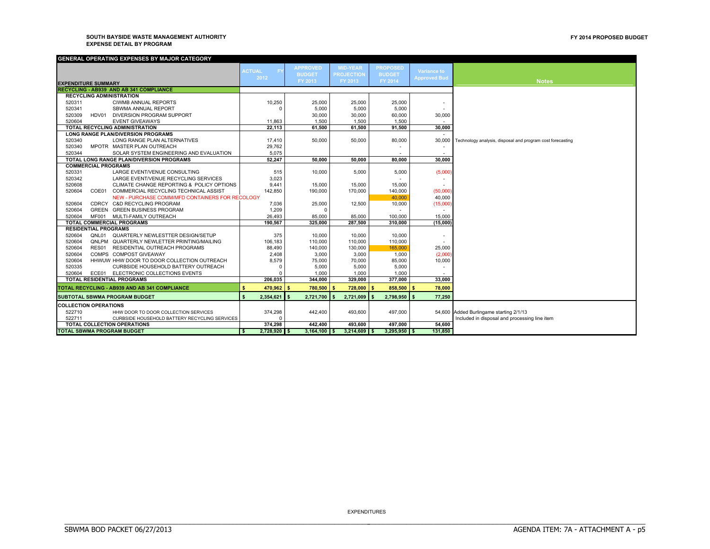### **SOUTH BAYSIDE WASTE MANAGEMENT AUTHORITY EXPENSE DETAIL BY PROGRAM**

| <b>GENERAL OPERATING EXPENSES BY MAJOR CATEGORY</b>                               |                       |                  |                   |                     |                          |                                                                   |
|-----------------------------------------------------------------------------------|-----------------------|------------------|-------------------|---------------------|--------------------------|-------------------------------------------------------------------|
|                                                                                   | <b>ACTUAL</b><br>- FY | <b>APPROVED</b>  | <b>MID-YEAR</b>   | <b>PROPOSED</b>     | <b>Variance to</b>       |                                                                   |
|                                                                                   | 2012                  | <b>BUDGET</b>    | <b>PROJECTION</b> | <b>BUDGET</b>       | <b>Approved Bud</b>      |                                                                   |
| <b>EXPENDITURE SUMMARY</b>                                                        |                       | FY 2013          | <b>FY 2013</b>    | FY 2014             |                          | <b>Notes</b>                                                      |
| RECYCLING - AB939 AND AB 341 COMPLIANCE                                           |                       |                  |                   |                     |                          |                                                                   |
| <b>RECYCLING ADMINISTRATION</b>                                                   |                       |                  |                   |                     |                          |                                                                   |
| 520311<br><b>CIWMB ANNUAL REPORTS</b>                                             | 10,250                | 25,000           | 25,000            | 25,000              | $\overline{\phantom{a}}$ |                                                                   |
| 520341<br><b>SBWMA ANNUAL REPORT</b>                                              |                       | 5.000            | 5.000             | 5.000               |                          |                                                                   |
| 520309<br>HDV01 DIVERSION PROGRAM SUPPORT                                         |                       | 30,000           | 30,000            | 60,000              | 30,000                   |                                                                   |
| 520604<br><b>EVENT GIVEAWAYS</b>                                                  | 11,863                | 1,500            | 1,500             | 1,500               |                          |                                                                   |
| <b>TOTAL RECYCLING ADMINISTRATION</b>                                             | 22.113                | 61.500           | 61.500            | 91.500              | 30,000                   |                                                                   |
| <b>LONG RANGE PLAN/DIVERSION PROGRAMS</b>                                         |                       |                  |                   |                     |                          |                                                                   |
| 520340<br>LONG RANGE PLAN ALTERNATIVES                                            | 17,410                | 50,000           | 50,000            | 80,000              |                          | 30,000 Technology analysis, disposal and program cost forecasting |
| 520340<br>MPOTR MASTER PLAN OUTREACH                                              | 29,762                |                  |                   |                     |                          |                                                                   |
| 520344<br>SOLAR SYSTEM ENGINEERING AND EVALUATION                                 | 5,075                 |                  |                   |                     |                          |                                                                   |
| TOTAL LONG RANGE PLAN/DIVERSION PROGRAMS                                          | 52.247                | 50.000           | 50.000            | 80.000              | 30.000                   |                                                                   |
| <b>COMMERCIAL PROGRAMS</b>                                                        |                       |                  |                   |                     |                          |                                                                   |
| 520331<br>LARGE EVENT/VENUE CONSULTING                                            | 515                   | 10,000           | 5,000             | 5,000               | (5,000)                  |                                                                   |
| 520342<br>LARGE EVENT/VENUE RECYCLING SERVICES                                    | 3,023                 |                  |                   |                     |                          |                                                                   |
| 520608<br>CLIMATE CHANGE REPORTING & POLICY OPTIONS                               | 9.441                 | 15,000           | 15.000            | 15,000              |                          |                                                                   |
| 520604<br>COE01 COMMERCIAL RECYCLING TECHNICAL ASSIST                             | 142,850               | 190,000          | 170,000           | 140,000             | (50,000)                 |                                                                   |
| NEW - PURCHASE COMM/MFD CONTAINERS FOR RECOLOGY                                   |                       |                  |                   | 40,000              | 40,000                   |                                                                   |
| 520604<br>CDRCY C&D RECYCLING PROGRAM                                             | 7,036                 | 25,000           | 12,500            | 10,000              | (15,000)                 |                                                                   |
| <b>GREEN GREEN BUSINESS PROGRAM</b><br>520604                                     | 1.209                 |                  |                   |                     |                          |                                                                   |
| 520604<br>MF001 MULTI-FAMILY OUTREACH                                             | 26,493                | 85,000           | 85,000            | 100,000             | 15,000                   |                                                                   |
| <b>TOTAL COMMERCIAL PROGRAMS</b>                                                  | 190.567               | 325.000          | 287.500           | 310.000             | (15.000)                 |                                                                   |
| <b>RESIDENTIAL PROGRAMS</b>                                                       |                       |                  |                   |                     |                          |                                                                   |
| 520604<br>QNL01 QUARTERLY NEWLESTTER DESIGN/SETUP                                 | 375                   | 10,000           | 10,000            | 10.000              | $\overline{\phantom{a}}$ |                                                                   |
| 520604<br><b>QNLPM QUARTERLY NEWLETTER PRINTING/MAILING</b>                       | 106.183               | 110,000          | 110,000           | 110.000             |                          |                                                                   |
| 520604<br>RES01 RESIDENTIAL OUTREACH PROGRAMS<br>520604<br>COMPS COMPOST GIVEAWAY | 88.490<br>2.408       | 140.000<br>3.000 | 130,000<br>3.000  | 165,000<br>1.000    | 25,000                   |                                                                   |
| 520604<br>HHWUW HHW DOOR TO DOOR COLLECTION OUTREACH                              | 8,579                 | 75,000           | 70,000            | 85,000              | (2,000)<br>10,000        |                                                                   |
| 520335<br><b>CURBSIDE HOUSEHOLD BATTERY OUTREACH</b>                              |                       | 5,000            | 5,000             | 5,000               |                          |                                                                   |
| 520604<br>ECE01 ELECTRONIC COLLECTIONS EVENTS                                     |                       | 1.000            | 1,000             | 1,000               |                          |                                                                   |
| <b>TOTAL RESIDENTIAL PROGRAMS</b>                                                 | 206,035               | 344,000          | 329,000           | 377,000             | 33,000                   |                                                                   |
| TOTAL RECYCLING - AB939 AND AB 341 COMPLIANCE                                     | 470,962 \$<br>s.      | 780,500          | 728,000           | 858,500<br><b>C</b> | 78,000<br>S.             |                                                                   |
| <b>SUBTOTAL SBWMA PROGRAM BUDGET</b>                                              | 2.354.621<br>£.       | 2,721,700        | 2,721,009         | 2.798.950           | 77.250                   |                                                                   |
|                                                                                   |                       |                  |                   |                     |                          |                                                                   |
| <b>COLLECTION OPERATIONS</b>                                                      |                       |                  |                   |                     |                          |                                                                   |
| 522710<br>HHW DOOR TO DOOR COLLECTION SERVICES                                    | 374,298               | 442,400          | 493,600           | 497,000             |                          | 54,600 Added Burlingame starting 2/1/13                           |
| 522711<br>CURBSIDE HOUSEHOLD BATTERY RECYCLING SERVICES                           |                       |                  |                   |                     |                          | Included in disposal and processing line item                     |
| <b>TOTAL COLLECTION OPERATIONS</b>                                                | 374,298               | 442,400          | 493,600           | 497,000             | 54,600                   |                                                                   |
| <b>TOTAL SBWMA PROGRAM BUDGET</b>                                                 | $2,728,920$ \$<br>£.  | $3,164,100$ \$   | 3,214,609         | $3,295,950$ \$      | 131,850                  |                                                                   |

BBBBBBBBBBBBBBBBBBBBBBBBBBBBBBBBBBBBBBBBBBBBBBBBBBBBBBBBBBBBBBBBBBBBBBBBBBBBBB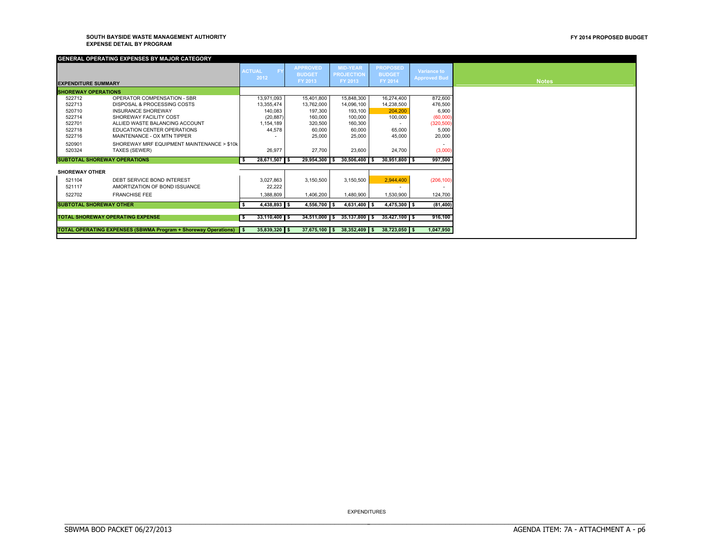### **SOUTH BAYSIDE WASTE MANAGEMENT AUTHORITY EXPENSE DETAIL BY PROGRAM**

|                                                                                        | <b>GENERAL OPERATING EXPENSES BY MAJOR CATEGORY</b>                                                                                                                                                                                                                                     |                                                                                   |                                                                                         |                                                                                         |                                                                              |                                                                                     |              |
|----------------------------------------------------------------------------------------|-----------------------------------------------------------------------------------------------------------------------------------------------------------------------------------------------------------------------------------------------------------------------------------------|-----------------------------------------------------------------------------------|-----------------------------------------------------------------------------------------|-----------------------------------------------------------------------------------------|------------------------------------------------------------------------------|-------------------------------------------------------------------------------------|--------------|
| <b>EXPENDITURE SUMMARY</b>                                                             |                                                                                                                                                                                                                                                                                         | <b>ACTUAL</b><br>2012                                                             | <b>APPROVED</b><br><b>BUDGET</b><br>FY 2013                                             | <b>MID-YEAR</b><br><b>PROJECTION</b><br>FY 2013                                         | <b>PROPOSED</b><br><b>BUDGET</b><br>FY 2014                                  | <b>Variance to</b><br><b>Approved Bud</b>                                           | <b>Notes</b> |
| <b>SHOREWAY OPERATIONS</b>                                                             |                                                                                                                                                                                                                                                                                         |                                                                                   |                                                                                         |                                                                                         |                                                                              |                                                                                     |              |
| 522712<br>522713<br>520710<br>522714<br>522701<br>522718<br>522716<br>520901<br>520324 | OPERATOR COMPENSATION - SBR<br>DISPOSAL & PROCESSING COSTS<br><b>INSURANCE SHOREWAY</b><br>SHOREWAY FACILITY COST<br>ALLIED WASTE BALANCING ACCOUNT<br><b>EDUCATION CENTER OPERATIONS</b><br>MAINTENANCE - OX MTN TIPPER<br>SHOREWAY MRF EQUIPMENT MAINTENANCE > \$10k<br>TAXES (SEWER) | 13,971,093<br>13,355,474<br>140,083<br>(20, 887)<br>1.154.189<br>44,578<br>26,977 | 15,401,800<br>13,762,000<br>197.300<br>160,000<br>320.500<br>60,000<br>25,000<br>27,700 | 15,848,300<br>14,096,100<br>193,100<br>100,000<br>160,300<br>60,000<br>25.000<br>23,600 | 16,274,400<br>14,238,500<br>204,200<br>100,000<br>65,000<br>45.000<br>24.700 | 872,600<br>476,500<br>6.900<br>(60,000)<br>(320, 500)<br>5,000<br>20,000<br>(3,000) |              |
| <b>SUBTOTAL SHOREWAY OPERATIONS</b>                                                    |                                                                                                                                                                                                                                                                                         | 28,671,507 \$                                                                     | 29,954,300 \$                                                                           | $30,506,400$ \$                                                                         | $30.951.800$ S                                                               | 997,500                                                                             |              |
| <b>SHOREWAY OTHER</b><br>521104<br>521117<br>522702                                    | DEBT SERVICE BOND INTEREST<br>AMORTIZATION OF BOND ISSUANCE<br><b>FRANCHISE FEE</b>                                                                                                                                                                                                     | 3,027,863<br>22,222<br>388,809                                                    | 3,150,500<br>1,406,200                                                                  | 3,150,500<br>1,480,900                                                                  | 2,944,400<br>1,530,900                                                       | (206, 100)<br>124,700                                                               |              |
| <b>SUBTOTAL SHOREWAY OTHER</b>                                                         |                                                                                                                                                                                                                                                                                         | $4,438,893$ \$<br>- \$                                                            | 4,556,700 \$                                                                            | $4,631,400$ \$                                                                          | $4,475,300$ \$                                                               | (81, 400)                                                                           |              |
| <b>TOTAL SHOREWAY OPERATING EXPENSE</b>                                                |                                                                                                                                                                                                                                                                                         | $33,110,400$ \$<br>l \$                                                           | $34,511,000$ $\sqrt{5}$                                                                 | 35,137,800 \$                                                                           | $35,427,100$ \$                                                              | 916,100                                                                             |              |
|                                                                                        | TOTAL OPERATING EXPENSES (SBWMA Program + Shoreway Operations)   \$                                                                                                                                                                                                                     | $35,839,320$ \$                                                                   | $37,675,100$ \$                                                                         | $38,352,409$ \$                                                                         | $38,723,050$ \$                                                              | 1,047,950                                                                           |              |

BBBBBBBBBBBBBBBBBBBBBBBBBBBBBBBBBBBBBBBBBBBBBBBBBBBBBBBBBBBBBBBBBBBBBBBBBBBBBB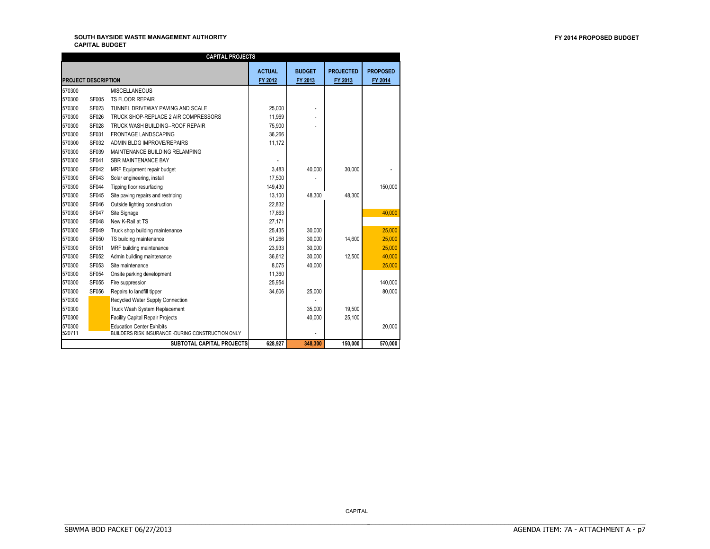#### **SOUTH BAYSIDE WASTE MANAGEMENT AUTHORITY CAPITAL BUDGET**

| <b>CAPITAL PROJECTS</b>    |              |                                                   |                          |                          |                             |                            |
|----------------------------|--------------|---------------------------------------------------|--------------------------|--------------------------|-----------------------------|----------------------------|
| <b>PROJECT DESCRIPTION</b> |              |                                                   | <b>ACTUAL</b><br>FY 2012 | <b>BUDGET</b><br>FY 2013 | <b>PROJECTED</b><br>FY 2013 | <b>PROPOSED</b><br>FY 2014 |
| 570300                     |              | <b>MISCELLANEOUS</b>                              |                          |                          |                             |                            |
| 570300                     | <b>SF005</b> | <b>TS FLOOR REPAIR</b>                            |                          |                          |                             |                            |
| 570300                     | <b>SF023</b> | TUNNEL DRIVEWAY PAVING AND SCALE                  | 25,000                   |                          |                             |                            |
| 570300                     | <b>SF026</b> | TRUCK SHOP-REPLACE 2 AIR COMPRESSORS              | 11,969                   |                          |                             |                            |
| 570300                     | <b>SF028</b> | TRUCK WASH BUILDING--ROOF REPAIR                  | 75,900                   |                          |                             |                            |
| 570300                     | SF031        | <b>FRONTAGE LANDSCAPING</b>                       | 36.266                   |                          |                             |                            |
| 570300                     | SF032        | ADMIN BLDG IMPROVE/REPAIRS                        | 11,172                   |                          |                             |                            |
| 570300                     | SF039        | MAINTENANCE BUILDING RELAMPING                    |                          |                          |                             |                            |
| 570300                     | SF041        | <b>SBR MAINTENANCE BAY</b>                        |                          |                          |                             |                            |
| 570300                     | SF042        | MRF Equipment repair budget                       | 3.483                    | 40,000                   | 30.000                      |                            |
| 570300                     | SF043        | Solar engineering, install                        | 17,500                   |                          |                             |                            |
| 570300                     | <b>SF044</b> | Tipping floor resurfacing                         | 149,430                  |                          |                             | 150,000                    |
| 570300                     | <b>SF045</b> | Site paving repairs and restriping                | 13,100                   | 48,300                   | 48,300                      |                            |
| 570300                     | <b>SF046</b> | Outside lighting construction                     | 22,832                   |                          |                             |                            |
| 570300                     | <b>SF047</b> | Site Signage                                      | 17,863                   |                          |                             | 40,000                     |
| 570300                     | <b>SF048</b> | New K-Rail at TS                                  | 27,171                   |                          |                             |                            |
| 570300                     | <b>SF049</b> | Truck shop building maintenance                   | 25,435                   | 30,000                   |                             | 25,000                     |
| 570300                     | <b>SF050</b> | TS building maintenance                           | 51,266                   | 30,000                   | 14,600                      | 25,000                     |
| 570300                     | SF051        | MRF building maintenance                          | 23,933                   | 30,000                   |                             | 25,000                     |
| 570300                     | SF052        | Admin building maintenance                        | 36,612                   | 30,000                   | 12,500                      | 40,000                     |
| 570300                     | SF053        | Site maintenance                                  | 8,075                    | 40,000                   |                             | 25,000                     |
| 570300                     | <b>SF054</b> | Onsite parking development                        | 11,360                   |                          |                             |                            |
| 570300                     | <b>SF055</b> | Fire suppression                                  | 25,954                   |                          |                             | 140,000                    |
| 570300                     | <b>SF056</b> | Repairs to landfill tipper                        | 34,606                   | 25,000                   |                             | 80,000                     |
| 570300                     |              | Recycled Water Supply Connection                  |                          |                          |                             |                            |
| 570300                     |              | Truck Wash System Replacement                     |                          | 35,000                   | 19,500                      |                            |
| 570300                     |              | <b>Facility Capital Repair Projects</b>           |                          | 40,000                   | 25,100                      |                            |
| 570300                     |              | <b>Education Center Exhibits</b>                  |                          |                          |                             | 20,000                     |
| 520711                     |              | BUILDERS RISK INSURANCE -DURING CONSTRUCTION ONLY |                          |                          |                             |                            |
|                            |              | SUBTOTAL CAPITAL PROJECTS                         | 628,927                  | 348,300                  | 150,000                     | 570,000                    |

BBBBBBBBBBBBBBBBBBBBBBBBBBBBBBBBBBBBBBBBBBBBBBBBBBBBBBBBBBBBBBBBBBBBBBBBBBBBBB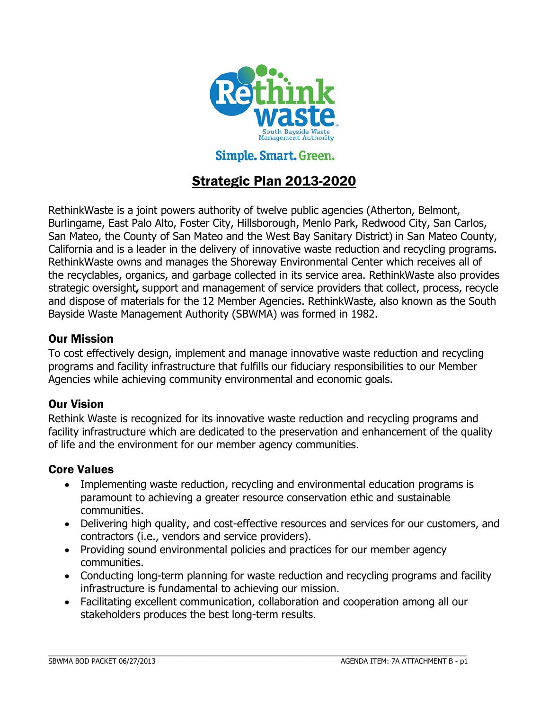

## Simple. Smart. Green.

# Strategic Plan 2013-2020

RethinkWaste is a joint powers authority of twelve public agencies (Atherton, Belmont, Burlingame, East Palo Alto, Foster City, Hillsborough, Menlo Park, Redwood City, San Carlos, San Mateo, the County of San Mateo and the West Bay Sanitary District) in San Mateo County, California and is a leader in the delivery of innovative waste reduction and recycling programs. RethinkWaste owns and manages the Shoreway Environmental Center which receives all of the recyclables, organics, and garbage collected in its service area. RethinkWaste also provides strategic oversight**,** support and management of service providers that collect, process, recycle and dispose of materials for the 12 Member Agencies. RethinkWaste, also known as the South Bayside Waste Management Authority (SBWMA) was formed in 1982.

### Our Mission

To cost effectively design, implement and manage innovative waste reduction and recycling programs and facility infrastructure that fulfills our fiduciary responsibilities to our Member Agencies while achieving community environmental and economic goals.

### Our Vision

Rethink Waste is recognized for its innovative waste reduction and recycling programs and facility infrastructure which are dedicated to the preservation and enhancement of the quality of life and the environment for our member agency communities.

## Core Values

- Implementing waste reduction, recycling and environmental education programs is paramount to achieving a greater resource conservation ethic and sustainable communities.
- Delivering high quality, and cost-effective resources and services for our customers, and contractors (i.e., vendors and service providers).
- Providing sound environmental policies and practices for our member agency communities.
- Conducting long-term planning for waste reduction and recycling programs and facility infrastructure is fundamental to achieving our mission.
- Facilitating excellent communication, collaboration and cooperation among all our stakeholders produces the best long-term results.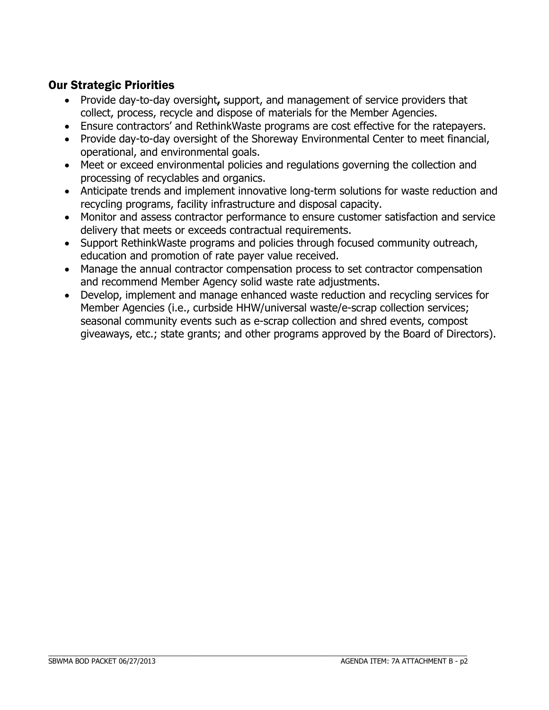## Our Strategic Priorities

- Provide day-to-day oversight, support, and management of service providers that collect, process, recycle and dispose of materials for the Member Agencies.
- Ensure contractors' and RethinkWaste programs are cost effective for the ratepayers.
- Provide day-to-day oversight of the Shoreway Environmental Center to meet financial, operational, and environmental goals.
- Meet or exceed environmental policies and regulations governing the collection and processing of recyclables and organics.
- Anticipate trends and implement innovative long-term solutions for waste reduction and recycling programs, facility infrastructure and disposal capacity.
- Monitor and assess contractor performance to ensure customer satisfaction and service delivery that meets or exceeds contractual requirements.
- Support RethinkWaste programs and policies through focused community outreach, education and promotion of rate payer value received.
- Manage the annual contractor compensation process to set contractor compensation and recommend Member Agency solid waste rate adjustments.
- Develop, implement and manage enhanced waste reduction and recycling services for Member Agencies (i.e., curbside HHW/universal waste/e-scrap collection services; seasonal community events such as e-scrap collection and shred events, compost giveaways, etc.; state grants; and other programs approved by the Board of Directors).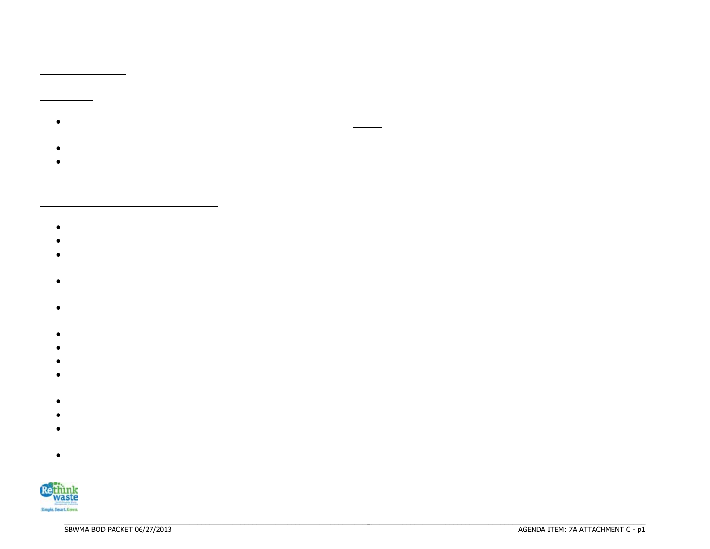- •
- 
- •
- •

- 
- •
- •
- •
- •
- •
- 
- •
- •
- •
- 
- •
- •
- 
- •

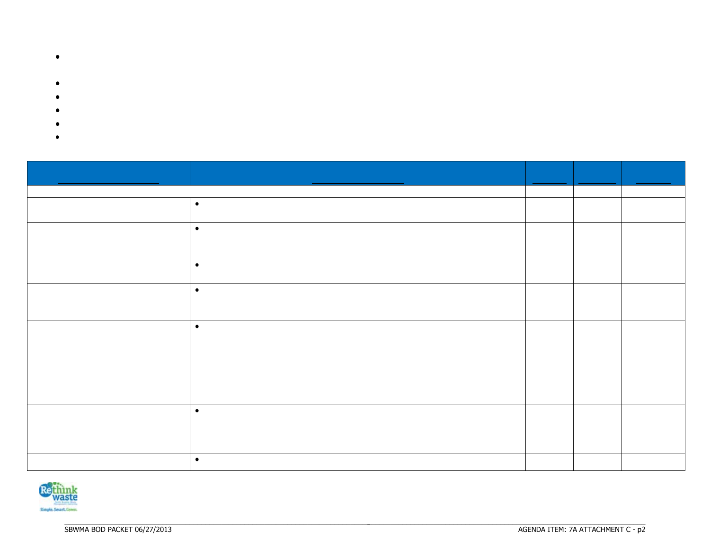- •
- •
- 
- •
- •
- •
- •

| $\bullet$ |  |  |
|-----------|--|--|
| $\bullet$ |  |  |
| $\bullet$ |  |  |
|           |  |  |
| $\bullet$ |  |  |
|           |  |  |
| $\bullet$ |  |  |
|           |  |  |
|           |  |  |
|           |  |  |
| $\bullet$ |  |  |
|           |  |  |
|           |  |  |
| $\bullet$ |  |  |



BBBBBBBBBBBBBBBBBBBBBBBBBBBBBBBBBBBBBBBBBBBBBBBBBBBBBBBBBBBBBBBBBBBBBBBBBBBBBB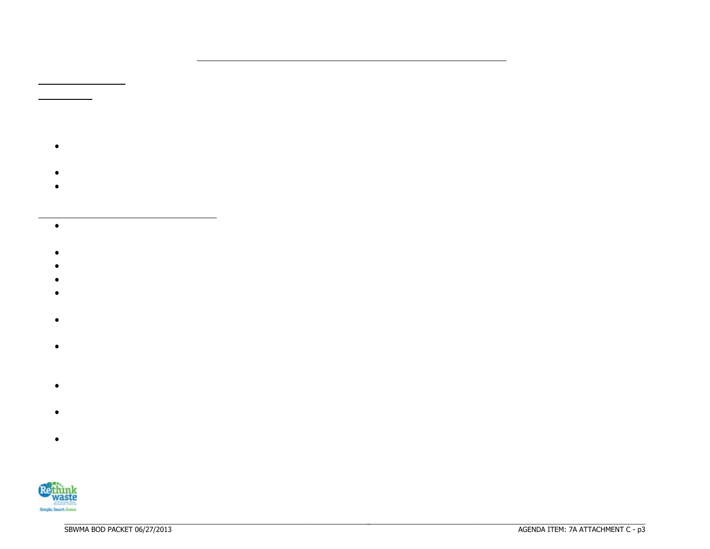- •
- •

# •

- 
- •
- •
- •
- •
- •
- •
- 
- •
- •
- •

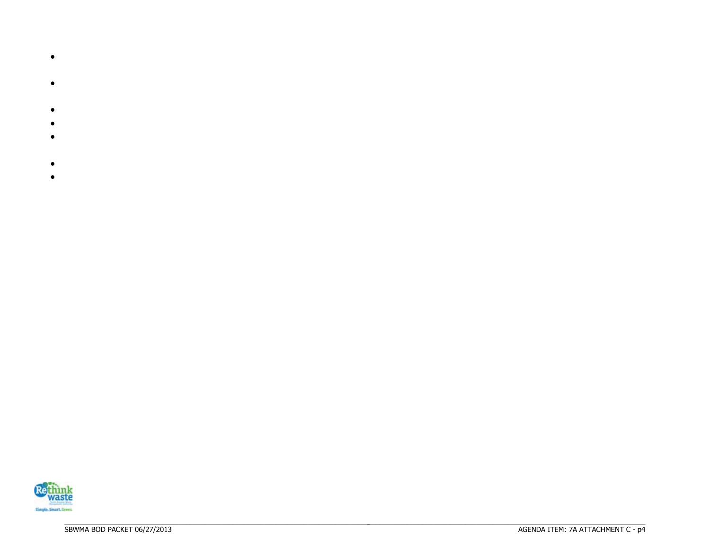- $\bullet$
- $\bullet$
- $\bullet$
- $\bullet$
- $\bullet$
- 
- $\bullet$
- $\bullet$

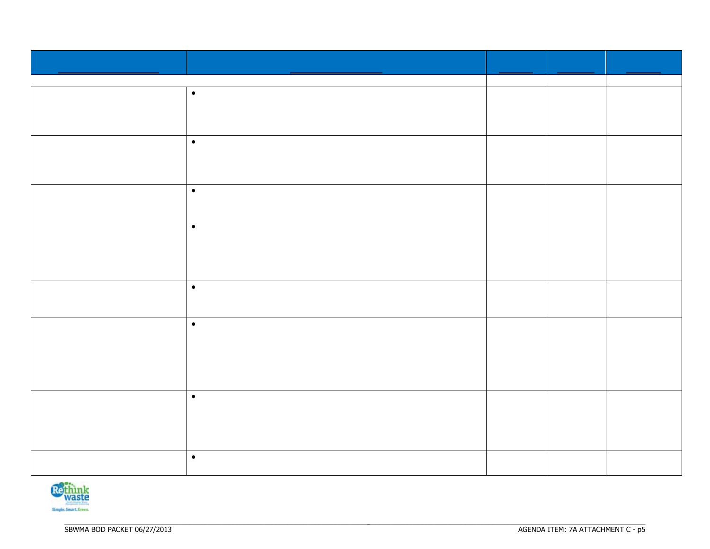| $\bullet$ |  |  |
|-----------|--|--|
|           |  |  |
| $\bullet$ |  |  |
|           |  |  |
|           |  |  |
| $\bullet$ |  |  |
| $\bullet$ |  |  |
|           |  |  |
|           |  |  |
| $\bullet$ |  |  |
| $\bullet$ |  |  |
|           |  |  |
|           |  |  |
|           |  |  |
| $\bullet$ |  |  |
|           |  |  |
| $\bullet$ |  |  |
|           |  |  |



BBBBBBBBBBBBBBBBBBBBBBBBBBBBBBBBBBBBBBBBBBBBBBBBBBBBBBBBBBBBBBBBBBBBBBBBBBBBBB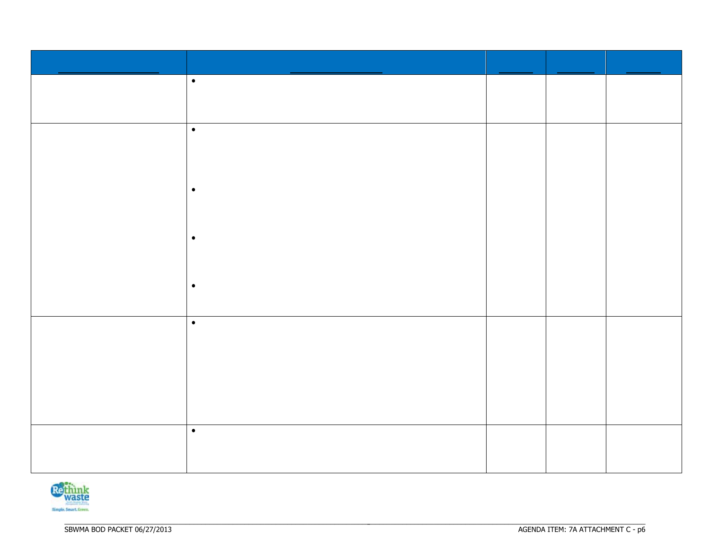| $\bullet$ |  |  |
|-----------|--|--|
|           |  |  |
| $\bullet$ |  |  |
|           |  |  |
| $\bullet$ |  |  |
|           |  |  |
| $\bullet$ |  |  |
|           |  |  |
| $\bullet$ |  |  |
| $\bullet$ |  |  |
|           |  |  |
|           |  |  |
|           |  |  |
|           |  |  |
| $\bullet$ |  |  |
|           |  |  |

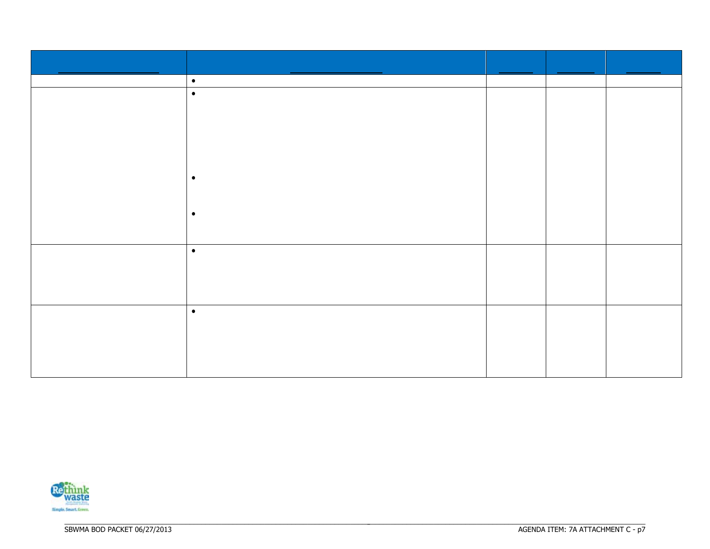| $\bullet$ |  |  |
|-----------|--|--|
| $\bullet$ |  |  |
|           |  |  |
|           |  |  |
|           |  |  |
|           |  |  |
| $\bullet$ |  |  |
|           |  |  |
|           |  |  |
|           |  |  |
|           |  |  |
| $\bullet$ |  |  |
|           |  |  |
|           |  |  |
|           |  |  |
| $\bullet$ |  |  |
|           |  |  |
|           |  |  |
|           |  |  |
|           |  |  |

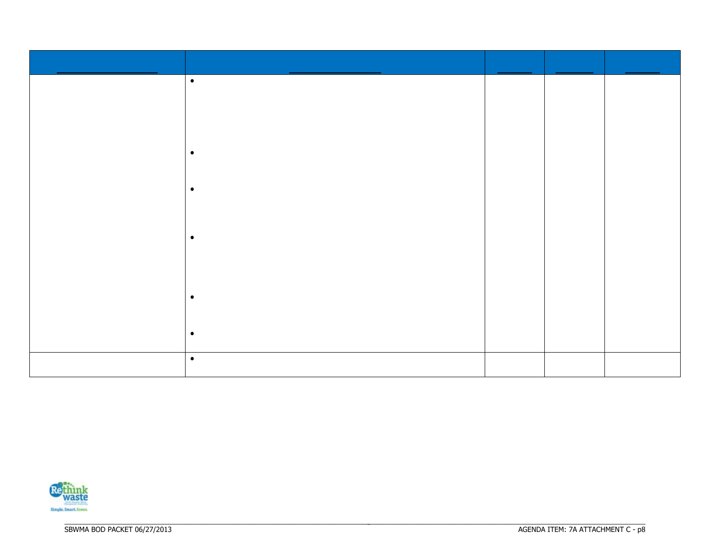| $\bullet$ |  |  |
|-----------|--|--|
|           |  |  |
|           |  |  |
| $\bullet$ |  |  |
| $\bullet$ |  |  |
|           |  |  |
| $\bullet$ |  |  |
|           |  |  |
| $\bullet$ |  |  |
|           |  |  |
| $\bullet$ |  |  |
| $\bullet$ |  |  |

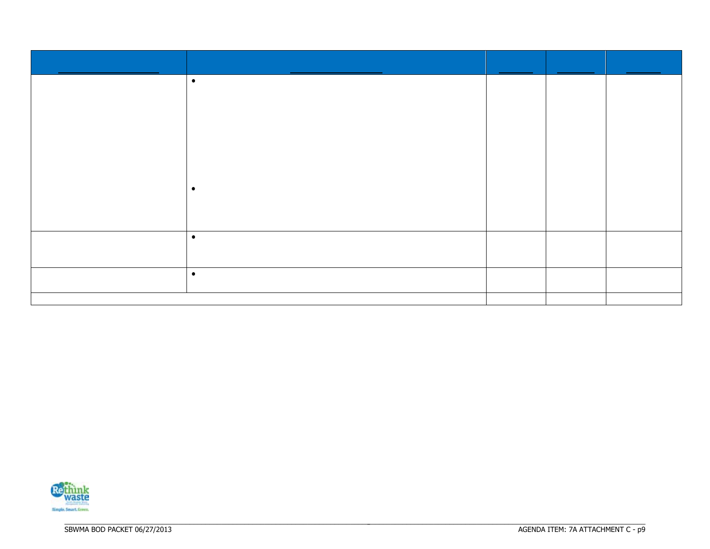| $\bullet$ |  |  |
|-----------|--|--|
|           |  |  |
|           |  |  |
|           |  |  |
| $\bullet$ |  |  |
|           |  |  |
| $\bullet$ |  |  |
|           |  |  |
| $\bullet$ |  |  |
|           |  |  |

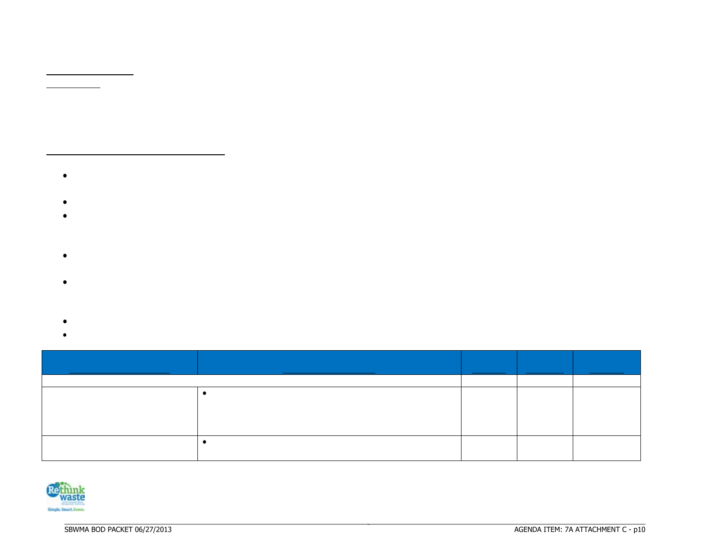- $\bullet$
- $\bullet$
- 
- 
- $\bullet$
- $\bullet$
- 
- $\bullet$
- 

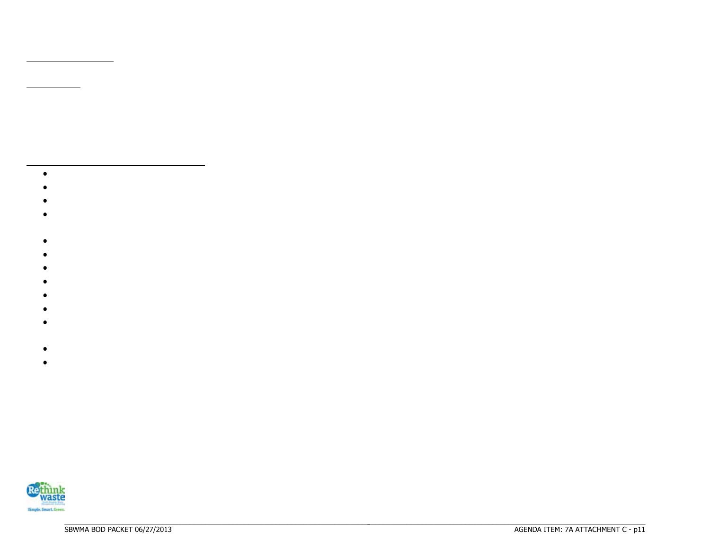- •
- •
- •
- •
- 
- •
- 
- •
- •
- •
- •
- 
- •
- •
- •
- •
- 

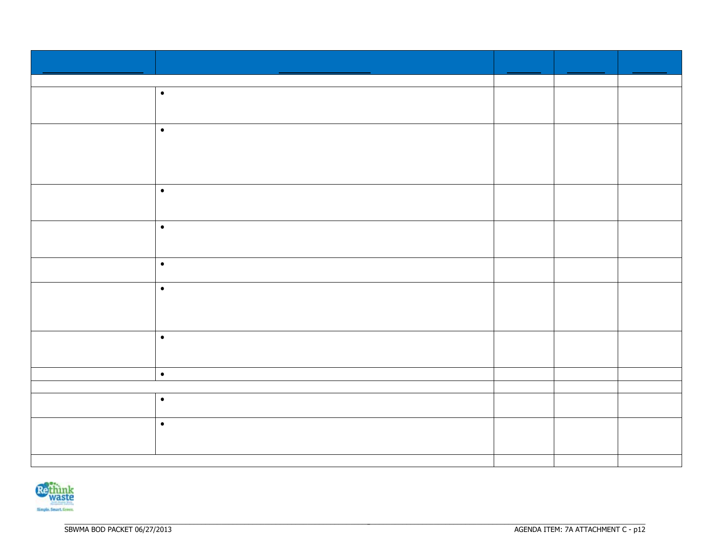|  | $\bullet$ |  |  |
|--|-----------|--|--|
|  |           |  |  |
|  | $\bullet$ |  |  |
|  |           |  |  |
|  |           |  |  |
|  | $\bullet$ |  |  |
|  |           |  |  |
|  | $\bullet$ |  |  |
|  |           |  |  |
|  | $\bullet$ |  |  |
|  | $\bullet$ |  |  |
|  |           |  |  |
|  |           |  |  |
|  | $\bullet$ |  |  |
|  |           |  |  |
|  | $\bullet$ |  |  |
|  |           |  |  |
|  | $\bullet$ |  |  |
|  | $\bullet$ |  |  |
|  |           |  |  |
|  |           |  |  |

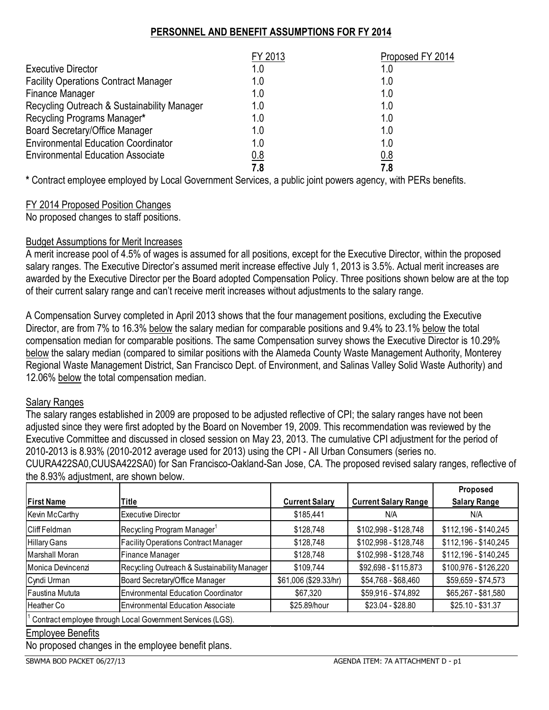#### **PERSONNEL AND BENEFIT ASSUMPTIONS FOR FY 2014**

|                                             | FY 2013    | Proposed FY 2014 |
|---------------------------------------------|------------|------------------|
| <b>Executive Director</b>                   | 1.0        | 1.0              |
| <b>Facility Operations Contract Manager</b> | 1.0        | 1.0              |
| Finance Manager                             | 1.0        | 1.0              |
| Recycling Outreach & Sustainability Manager | 1.0        | 1.0              |
| Recycling Programs Manager*                 | 1.0        | 1.0              |
| <b>Board Secretary/Office Manager</b>       | 1.0        | 1.0              |
| <b>Environmental Education Coordinator</b>  | 1.0        | 1.0              |
| <b>Environmental Education Associate</b>    | <u>0.8</u> | <u>0.8</u>       |
|                                             | 7.8        | 7.8              |

**\*** Contract employee employed by Local Government Services, a public joint powers agency, with PERs benefits.

#### FY 2014 Proposed Position Changes

No proposed changes to staff positions.

#### Budget Assumptions for Merit Increases

A merit increase pool of 4.5% of wages is assumed for all positions, except for the Executive Director, within the proposed salary ranges. The Executive Director's assumed merit increase effective July 1, 2013 is 3.5%. Actual merit increases are awarded by the Executive Director per the Board adopted Compensation Policy. Three positions shown below are at the top of their current salary range and can't receive merit increases without adjustments to the salary range.

A Compensation Survey completed in April 2013 shows that the four management positions, excluding the Executive Director, are from 7% to 16.3% below the salary median for comparable positions and 9.4% to 23.1% below the total compensation median for comparable positions. The same Compensation survey shows the Executive Director is 10.29% below the salary median (compared to similar positions with the Alameda County Waste Management Authority, Monterey Regional Waste Management District, San Francisco Dept. of Environment, and Salinas Valley Solid Waste Authority) and 12.06% below the total compensation median.

#### Salary Ranges

The salary ranges established in 2009 are proposed to be adjusted reflective of CPI; the salary ranges have not been adjusted since they were first adopted by the Board on November 19, 2009. This recommendation was reviewed by the Executive Committee and discussed in closed session on May 23, 2013. The cumulative CPI adjustment for the period of 2010-2013 is 8.93% (2010-2012 average used for 2013) using the CPI - All Urban Consumers (series no. CUURA422SA0,CUUSA422SA0) for San Francisco-Oakland-San Jose, CA. The proposed revised salary ranges, reflective of the 8.93% adjustment, are shown below.

|                                                            |                                             |                       |                             | Proposed              |  |  |  |
|------------------------------------------------------------|---------------------------------------------|-----------------------|-----------------------------|-----------------------|--|--|--|
| <b>IFirst Name</b>                                         | Title                                       | <b>Current Salary</b> | <b>Current Salary Range</b> | <b>Salary Range</b>   |  |  |  |
| Kevin McCarthy                                             | Executive Director                          | \$185,441             | N/A                         | N/A                   |  |  |  |
| Cliff Feldman                                              | Recycling Program Manager <sup>1</sup>      | \$128,748             | \$102,998 - \$128,748       | \$112,196 - \$140,245 |  |  |  |
| <b>Hillary Gans</b>                                        | <b>Facility Operations Contract Manager</b> | \$128,748             | \$102,998 - \$128,748       | \$112,196 - \$140,245 |  |  |  |
| <b>Marshall Moran</b>                                      | Finance Manager                             | \$128,748             | \$102,998 - \$128,748       | \$112,196 - \$140,245 |  |  |  |
| Monica Devincenzi                                          | Recycling Outreach & Sustainability Manager | \$109,744             | \$92,698 - \$115,873        | \$100,976 - \$126,220 |  |  |  |
| Cyndi Urman                                                | Board Secretary/Office Manager              | \$61,006 (\$29.33/hr) | \$54,768 - \$68,460         | \$59,659 - \$74,573   |  |  |  |
| Faustina Mututa                                            | <b>Environmental Education Coordinator</b>  | \$67,320              | \$59,916 - \$74,892         | \$65,267 - \$81,580   |  |  |  |
| Heather Co                                                 | <b>Environmental Education Associate</b>    | \$25.89/hour          | $$23.04 - $28.80$           | $$25.10 - $31.37$     |  |  |  |
| Contract employee through Local Government Services (LGS). |                                             |                       |                             |                       |  |  |  |

#### Employee Benefits

No proposed changes in the employee benefit plans.